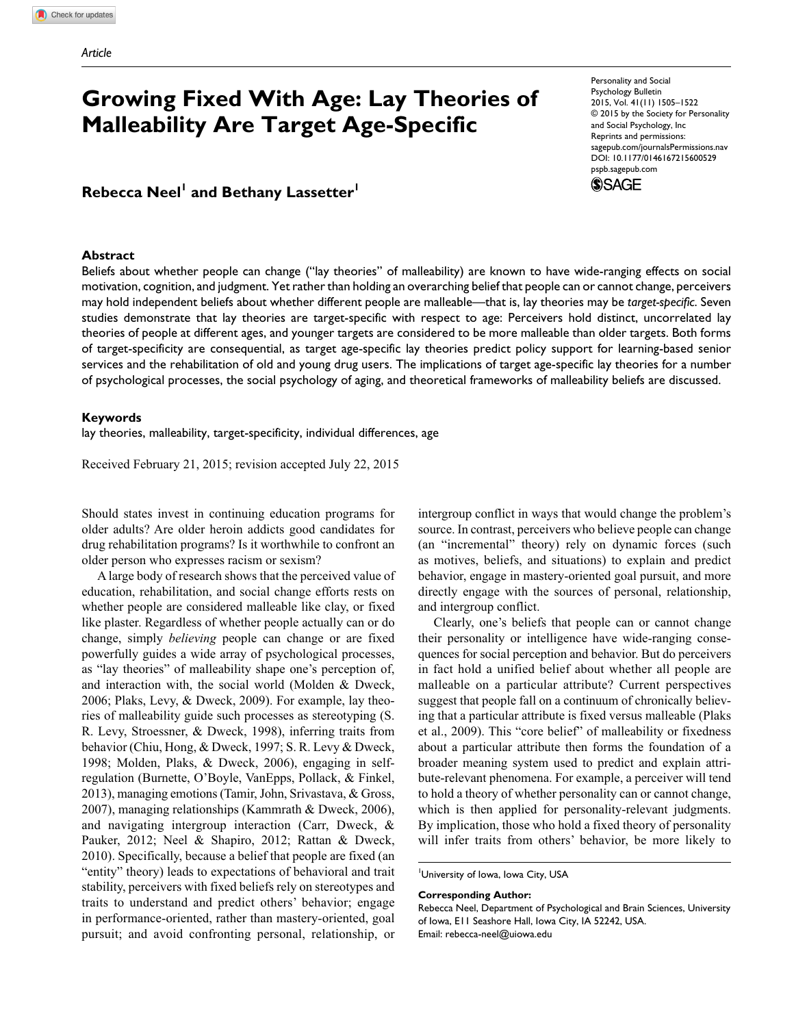# **Growing Fixed With Age: Lay Theories of Malleability Are Target Age-Specific**

# **Rebecca Neel<sup>1</sup> and Bethany Lassetter<sup>1</sup>**

# **Abstract**

Personality and Social Psychology Bulletin 2015, Vol. 41(11) 1505–1522 © 2015 by the Society for Personality and Social Psychology, Inc Reprints and permissions: sagepub.com/journalsPermissions.nav DOI: 10.1177/0146167215600529 pspb.sagepub.com



Beliefs about whether people can change ("lay theories" of malleability) are known to have wide-ranging effects on social motivation, cognition, and judgment. Yet rather than holding an overarching belief that people can or cannot change, perceivers may hold independent beliefs about whether different people are malleable—that is, lay theories may be *target-specific*. Seven studies demonstrate that lay theories are target-specific with respect to age: Perceivers hold distinct, uncorrelated lay theories of people at different ages, and younger targets are considered to be more malleable than older targets. Both forms of target-specificity are consequential, as target age-specific lay theories predict policy support for learning-based senior services and the rehabilitation of old and young drug users. The implications of target age-specific lay theories for a number of psychological processes, the social psychology of aging, and theoretical frameworks of malleability beliefs are discussed.

#### **Keywords**

lay theories, malleability, target-specificity, individual differences, age

Received February 21, 2015; revision accepted July 22, 2015

Should states invest in continuing education programs for older adults? Are older heroin addicts good candidates for drug rehabilitation programs? Is it worthwhile to confront an older person who expresses racism or sexism?

A large body of research shows that the perceived value of education, rehabilitation, and social change efforts rests on whether people are considered malleable like clay, or fixed like plaster. Regardless of whether people actually can or do change, simply *believing* people can change or are fixed powerfully guides a wide array of psychological processes, as "lay theories" of malleability shape one's perception of, and interaction with, the social world (Molden & Dweck, 2006; Plaks, Levy, & Dweck, 2009). For example, lay theories of malleability guide such processes as stereotyping (S. R. Levy, Stroessner, & Dweck, 1998), inferring traits from behavior (Chiu, Hong, & Dweck, 1997; S. R. Levy & Dweck, 1998; Molden, Plaks, & Dweck, 2006), engaging in selfregulation (Burnette, O'Boyle, VanEpps, Pollack, & Finkel, 2013), managing emotions (Tamir, John, Srivastava, & Gross, 2007), managing relationships (Kammrath & Dweck, 2006), and navigating intergroup interaction (Carr, Dweck, & Pauker, 2012; Neel & Shapiro, 2012; Rattan & Dweck, 2010). Specifically, because a belief that people are fixed (an "entity" theory) leads to expectations of behavioral and trait stability, perceivers with fixed beliefs rely on stereotypes and traits to understand and predict others' behavior; engage in performance-oriented, rather than mastery-oriented, goal pursuit; and avoid confronting personal, relationship, or intergroup conflict in ways that would change the problem's source. In contrast, perceivers who believe people can change (an "incremental" theory) rely on dynamic forces (such as motives, beliefs, and situations) to explain and predict behavior, engage in mastery-oriented goal pursuit, and more directly engage with the sources of personal, relationship, and intergroup conflict.

Clearly, one's beliefs that people can or cannot change their personality or intelligence have wide-ranging consequences for social perception and behavior. But do perceivers in fact hold a unified belief about whether all people are malleable on a particular attribute? Current perspectives suggest that people fall on a continuum of chronically believing that a particular attribute is fixed versus malleable (Plaks et al., 2009). This "core belief" of malleability or fixedness about a particular attribute then forms the foundation of a broader meaning system used to predict and explain attribute-relevant phenomena. For example, a perceiver will tend to hold a theory of whether personality can or cannot change, which is then applied for personality-relevant judgments. By implication, those who hold a fixed theory of personality will infer traits from others' behavior, be more likely to

1 University of Iowa, Iowa City, USA

#### **Corresponding Author:**

Rebecca Neel, Department of Psychological and Brain Sciences, University of Iowa, E11 Seashore Hall, Iowa City, IA 52242, USA. Email: [rebecca-neel@uiowa.edu](mailto:rebecca-neel@uiowa.edu)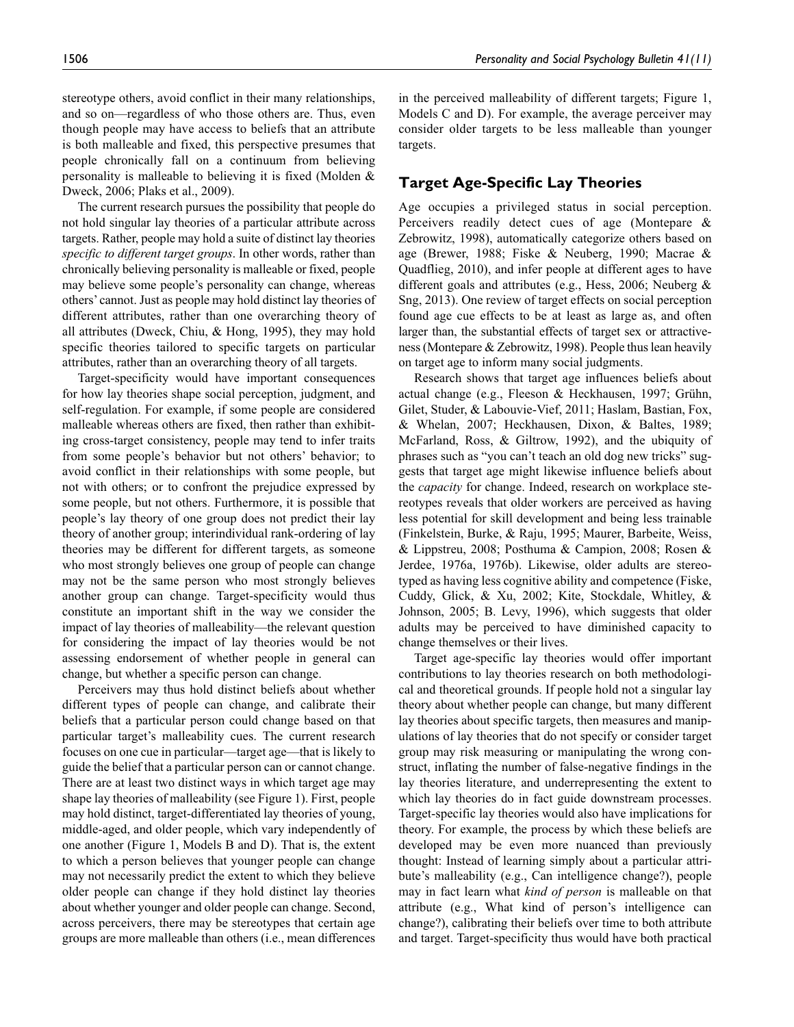stereotype others, avoid conflict in their many relationships, and so on—regardless of who those others are. Thus, even though people may have access to beliefs that an attribute is both malleable and fixed, this perspective presumes that people chronically fall on a continuum from believing personality is malleable to believing it is fixed (Molden & Dweck, 2006; Plaks et al., 2009).

The current research pursues the possibility that people do not hold singular lay theories of a particular attribute across targets. Rather, people may hold a suite of distinct lay theories *specific to different target groups*. In other words, rather than chronically believing personality is malleable or fixed, people may believe some people's personality can change, whereas others' cannot. Just as people may hold distinct lay theories of different attributes, rather than one overarching theory of all attributes (Dweck, Chiu, & Hong, 1995), they may hold specific theories tailored to specific targets on particular attributes, rather than an overarching theory of all targets.

Target-specificity would have important consequences for how lay theories shape social perception, judgment, and self-regulation. For example, if some people are considered malleable whereas others are fixed, then rather than exhibiting cross-target consistency, people may tend to infer traits from some people's behavior but not others' behavior; to avoid conflict in their relationships with some people, but not with others; or to confront the prejudice expressed by some people, but not others. Furthermore, it is possible that people's lay theory of one group does not predict their lay theory of another group; interindividual rank-ordering of lay theories may be different for different targets, as someone who most strongly believes one group of people can change may not be the same person who most strongly believes another group can change. Target-specificity would thus constitute an important shift in the way we consider the impact of lay theories of malleability—the relevant question for considering the impact of lay theories would be not assessing endorsement of whether people in general can change, but whether a specific person can change.

Perceivers may thus hold distinct beliefs about whether different types of people can change, and calibrate their beliefs that a particular person could change based on that particular target's malleability cues. The current research focuses on one cue in particular—target age—that is likely to guide the belief that a particular person can or cannot change. There are at least two distinct ways in which target age may shape lay theories of malleability (see Figure 1). First, people may hold distinct, target-differentiated lay theories of young, middle-aged, and older people, which vary independently of one another (Figure 1, Models B and D). That is, the extent to which a person believes that younger people can change may not necessarily predict the extent to which they believe older people can change if they hold distinct lay theories about whether younger and older people can change. Second, across perceivers, there may be stereotypes that certain age groups are more malleable than others (i.e., mean differences

in the perceived malleability of different targets; Figure 1, Models C and D). For example, the average perceiver may consider older targets to be less malleable than younger targets.

# **Target Age-Specific Lay Theories**

Age occupies a privileged status in social perception. Perceivers readily detect cues of age (Montepare & Zebrowitz, 1998), automatically categorize others based on age (Brewer, 1988; Fiske & Neuberg, 1990; Macrae & Quadflieg, 2010), and infer people at different ages to have different goals and attributes (e.g., Hess, 2006; Neuberg & Sng, 2013). One review of target effects on social perception found age cue effects to be at least as large as, and often larger than, the substantial effects of target sex or attractiveness (Montepare & Zebrowitz, 1998). People thus lean heavily on target age to inform many social judgments.

Research shows that target age influences beliefs about actual change (e.g., Fleeson & Heckhausen, 1997; Grühn, Gilet, Studer, & Labouvie-Vief, 2011; Haslam, Bastian, Fox, & Whelan, 2007; Heckhausen, Dixon, & Baltes, 1989; McFarland, Ross, & Giltrow, 1992), and the ubiquity of phrases such as "you can't teach an old dog new tricks" suggests that target age might likewise influence beliefs about the *capacity* for change. Indeed, research on workplace stereotypes reveals that older workers are perceived as having less potential for skill development and being less trainable (Finkelstein, Burke, & Raju, 1995; Maurer, Barbeite, Weiss, & Lippstreu, 2008; Posthuma & Campion, 2008; Rosen & Jerdee, 1976a, 1976b). Likewise, older adults are stereotyped as having less cognitive ability and competence (Fiske, Cuddy, Glick, & Xu, 2002; Kite, Stockdale, Whitley, & Johnson, 2005; B. Levy, 1996), which suggests that older adults may be perceived to have diminished capacity to change themselves or their lives.

Target age-specific lay theories would offer important contributions to lay theories research on both methodological and theoretical grounds. If people hold not a singular lay theory about whether people can change, but many different lay theories about specific targets, then measures and manipulations of lay theories that do not specify or consider target group may risk measuring or manipulating the wrong construct, inflating the number of false-negative findings in the lay theories literature, and underrepresenting the extent to which lay theories do in fact guide downstream processes. Target-specific lay theories would also have implications for theory. For example, the process by which these beliefs are developed may be even more nuanced than previously thought: Instead of learning simply about a particular attribute's malleability (e.g., Can intelligence change?), people may in fact learn what *kind of person* is malleable on that attribute (e.g., What kind of person's intelligence can change?), calibrating their beliefs over time to both attribute and target. Target-specificity thus would have both practical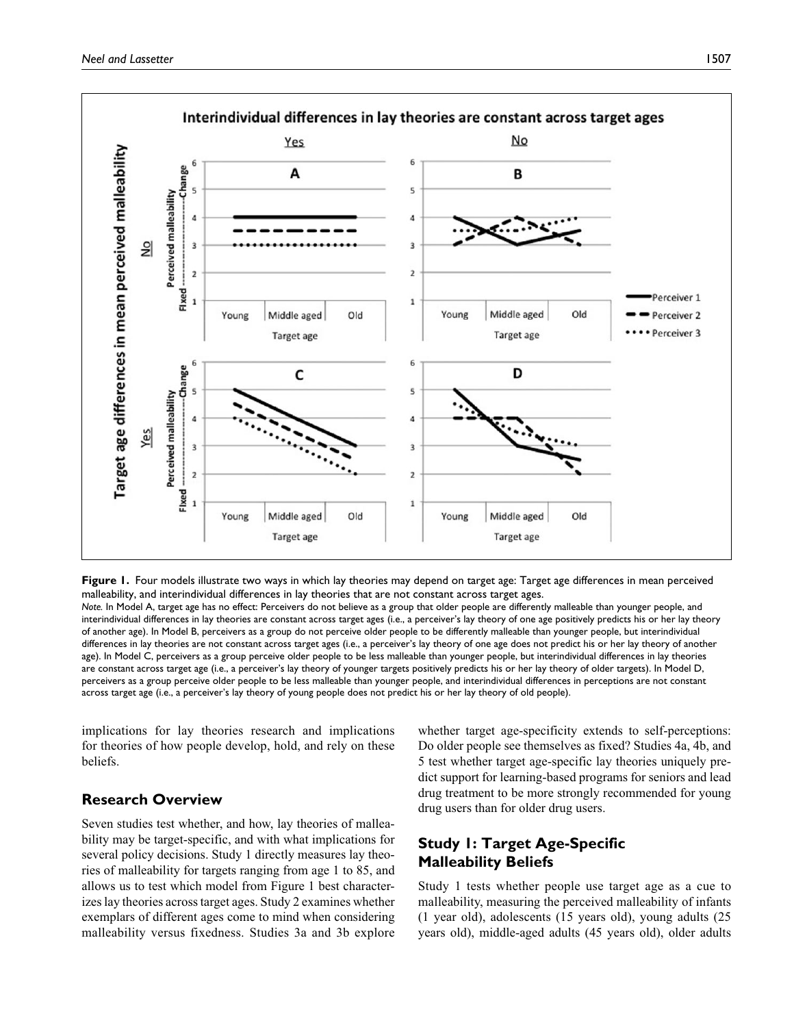

malleability, and interindividual differences in lay theories that are not constant across target ages. *Note.* In Model A, target age has no effect: Perceivers do not believe as a group that older people are differently malleable than younger people, and interindividual differences in lay theories are constant across target ages (i.e., a perceiver's lay theory of one age positively predicts his or her lay theory of another age). In Model B, perceivers as a group do not perceive older people to be differently malleable than younger people, but interindividual differences in lay theories are not constant across target ages (i.e., a perceiver's lay theory of one age does not predict his or her lay theory of another age). In Model C, perceivers as a group perceive older people to be less malleable than younger people, but interindividual differences in lay theories are constant across target age (i.e., a perceiver's lay theory of younger targets positively predicts his or her lay theory of older targets). In Model D, perceivers as a group perceive older people to be less malleable than younger people, and interindividual differences in perceptions are not constant

across target age (i.e., a perceiver's lay theory of young people does not predict his or her lay theory of old people).

implications for lay theories research and implications for theories of how people develop, hold, and rely on these beliefs.

# **Research Overview**

Seven studies test whether, and how, lay theories of malleability may be target-specific, and with what implications for several policy decisions. Study 1 directly measures lay theories of malleability for targets ranging from age 1 to 85, and allows us to test which model from Figure 1 best characterizes lay theories across target ages. Study 2 examines whether exemplars of different ages come to mind when considering malleability versus fixedness. Studies 3a and 3b explore whether target age-specificity extends to self-perceptions: Do older people see themselves as fixed? Studies 4a, 4b, and 5 test whether target age-specific lay theories uniquely predict support for learning-based programs for seniors and lead drug treatment to be more strongly recommended for young drug users than for older drug users.

# **Study 1: Target Age-Specific Malleability Beliefs**

Study 1 tests whether people use target age as a cue to malleability, measuring the perceived malleability of infants (1 year old), adolescents (15 years old), young adults (25 years old), middle-aged adults (45 years old), older adults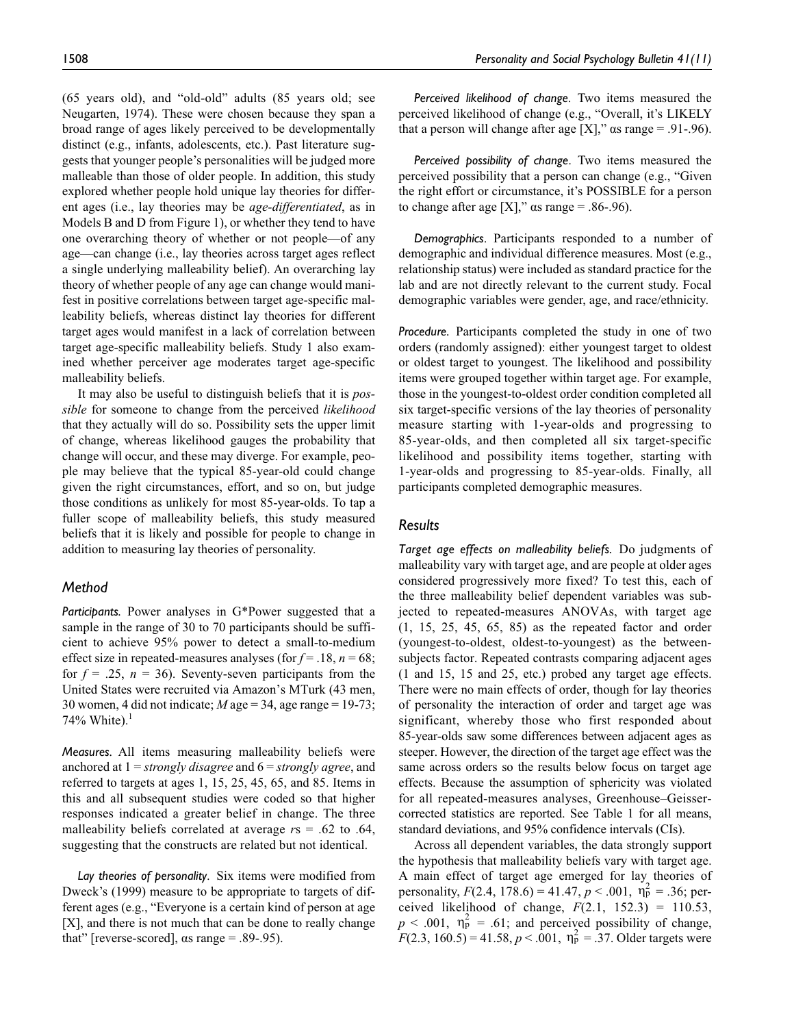(65 years old), and "old-old" adults (85 years old; see Neugarten, 1974). These were chosen because they span a broad range of ages likely perceived to be developmentally distinct (e.g., infants, adolescents, etc.). Past literature suggests that younger people's personalities will be judged more malleable than those of older people. In addition, this study explored whether people hold unique lay theories for different ages (i.e., lay theories may be *age-differentiated*, as in Models B and D from Figure 1), or whether they tend to have one overarching theory of whether or not people—of any age—can change (i.e., lay theories across target ages reflect a single underlying malleability belief). An overarching lay theory of whether people of any age can change would manifest in positive correlations between target age-specific malleability beliefs, whereas distinct lay theories for different target ages would manifest in a lack of correlation between target age-specific malleability beliefs. Study 1 also examined whether perceiver age moderates target age-specific malleability beliefs.

It may also be useful to distinguish beliefs that it is *possible* for someone to change from the perceived *likelihood* that they actually will do so. Possibility sets the upper limit of change, whereas likelihood gauges the probability that change will occur, and these may diverge. For example, people may believe that the typical 85-year-old could change given the right circumstances, effort, and so on, but judge those conditions as unlikely for most 85-year-olds. To tap a fuller scope of malleability beliefs, this study measured beliefs that it is likely and possible for people to change in addition to measuring lay theories of personality.

# *Method*

*Participants.* Power analyses in G\*Power suggested that a sample in the range of 30 to 70 participants should be sufficient to achieve 95% power to detect a small-to-medium effect size in repeated-measures analyses (for  $f = .18$ ,  $n = 68$ ; for  $f = .25$ ,  $n = 36$ ). Seventy-seven participants from the United States were recruited via Amazon's MTurk (43 men, 30 women, 4 did not indicate;  $M$  age = 34, age range = 19-73; 74% White). $<sup>1</sup>$ </sup>

*Measures.* All items measuring malleability beliefs were anchored at 1 = *strongly disagree* and 6 = *strongly agree*, and referred to targets at ages 1, 15, 25, 45, 65, and 85. Items in this and all subsequent studies were coded so that higher responses indicated a greater belief in change. The three malleability beliefs correlated at average *r*s = .62 to .64, suggesting that the constructs are related but not identical.

*Lay theories of personality*. Six items were modified from Dweck's (1999) measure to be appropriate to targets of different ages (e.g., "Everyone is a certain kind of person at age [X], and there is not much that can be done to really change that" [reverse-scored],  $\alpha s$  range = .89-.95).

*Perceived likelihood of change*. Two items measured the perceived likelihood of change (e.g., "Overall, it's LIKELY that a person will change after age  $[X]$ ,"  $\alpha$ s range = .91-.96).

*Perceived possibility of change*. Two items measured the perceived possibility that a person can change (e.g., "Given the right effort or circumstance, it's POSSIBLE for a person to change after age [X],"  $\alpha$ s range = .86-.96).

*Demographics*. Participants responded to a number of demographic and individual difference measures. Most (e.g., relationship status) were included as standard practice for the lab and are not directly relevant to the current study. Focal demographic variables were gender, age, and race/ethnicity.

*Procedure.* Participants completed the study in one of two orders (randomly assigned): either youngest target to oldest or oldest target to youngest. The likelihood and possibility items were grouped together within target age. For example, those in the youngest-to-oldest order condition completed all six target-specific versions of the lay theories of personality measure starting with 1-year-olds and progressing to 85-year-olds, and then completed all six target-specific likelihood and possibility items together, starting with 1-year-olds and progressing to 85-year-olds. Finally, all participants completed demographic measures.

### *Results*

*Target age effects on malleability beliefs.* Do judgments of malleability vary with target age, and are people at older ages considered progressively more fixed? To test this, each of the three malleability belief dependent variables was subjected to repeated-measures ANOVAs, with target age (1, 15, 25, 45, 65, 85) as the repeated factor and order (youngest-to-oldest, oldest-to-youngest) as the betweensubjects factor. Repeated contrasts comparing adjacent ages (1 and 15, 15 and 25, etc.) probed any target age effects. There were no main effects of order, though for lay theories of personality the interaction of order and target age was significant, whereby those who first responded about 85-year-olds saw some differences between adjacent ages as steeper. However, the direction of the target age effect was the same across orders so the results below focus on target age effects. Because the assumption of sphericity was violated for all repeated-measures analyses, Greenhouse–Geissercorrected statistics are reported. See Table 1 for all means, standard deviations, and 95% confidence intervals (CIs).

Across all dependent variables, the data strongly support the hypothesis that malleability beliefs vary with target age. A main effect of target age emerged for lay theories of personality,  $F(2.4, 178.6) = 41.47, p < .001, \eta_p^2 = .36$ ; perceived likelihood of change,  $F(2.1, 152.3) = 110.53$ ,  $p < .001$ ,  $\eta_p^2 = .61$ ; and perceived possibility of change,  $F(2.3, 160.5) = 41.58, p < .001, \eta_p^2 = .37$ . Older targets were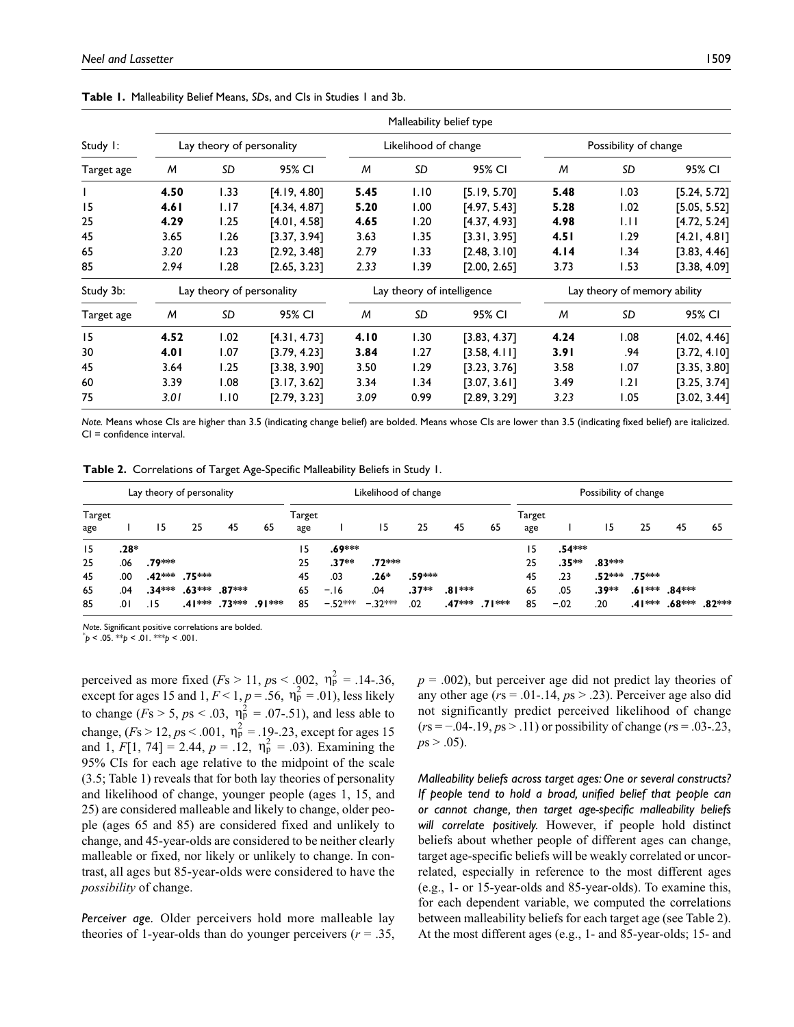|            |      |                           |              |      | Malleability belief type   |              |      |                              |              |
|------------|------|---------------------------|--------------|------|----------------------------|--------------|------|------------------------------|--------------|
| Study I:   |      | Lay theory of personality |              |      | Likelihood of change       |              |      | Possibility of change        |              |
| Target age | M    | SD                        | 95% CI       | M    | SD                         | 95% CI       | M    | SD                           | 95% CI       |
|            | 4.50 | 1.33                      | [4.19, 4.80] | 5.45 | 1.10                       | [5.19, 5.70] | 5.48 | 1.03                         | [5.24, 5.72] |
| 15         | 4.61 | 1.17                      | [4.34, 4.87] | 5.20 | 1.00                       | [4.97, 5.43] | 5.28 | 1.02                         | [5.05, 5.52] |
| 25         | 4.29 | 1.25                      | [4.01, 4.58] | 4.65 | 20. ا                      | [4.37, 4.93] | 4.98 | 1.11                         | [4.72, 5.24] |
| 45         | 3.65 | 1.26                      | [3.37, 3.94] | 3.63 | 1.35                       | [3.31, 3.95] | 4.51 | 1.29                         | [4.21, 4.81] |
| 65         | 3.20 | 1.23                      | [2.92, 3.48] | 2.79 | 1.33                       | [2.48, 3.10] | 4.14 | 1.34                         | [3.83, 4.46] |
| 85         | 2.94 | l.28                      | [2.65, 3.23] | 2.33 | 1.39                       | [2.00, 2.65] | 3.73 | 1.53                         | [3.38, 4.09] |
| Study 3b:  |      | Lay theory of personality |              |      | Lay theory of intelligence |              |      | Lay theory of memory ability |              |
| Target age | M    | SD                        | 95% CI       | M    | SD                         | 95% CI       | M    | SD                           | 95% CI       |
| 15         | 4.52 | 1.02                      | [4.31, 4.73] | 4.10 | 1.30                       | [3.83, 4.37] | 4.24 | 0.1                          | [4.02, 4.46] |
| 30         | 4.01 | 1.07                      | [3.79, 4.23] | 3.84 | 1.27                       | [3.58, 4.11] | 3.91 | .94                          | [3.72, 4.10] |
| 45         | 3.64 | 1.25                      | [3.38, 3.90] | 3.50 | 1.29                       | [3.23, 3.76] | 3.58 | 1.07                         | [3.35, 3.80] |
| 60         | 3.39 | 0.1                       | [3.17, 3.62] | 3.34 | 1.34                       | [3.07, 3.61] | 3.49 | 1.21                         | [3.25, 3.74] |
| 75         | 3.01 | 1.10                      | [2.79, 3.23] | 3.09 | 0.99                       | [2.89, 3.29] | 3.23 | 1.05                         | [3.02, 3.44] |

**Table 1.** Malleability Belief Means, *SD*s, and CIs in Studies 1 and 3b.

*Note.* Means whose CIs are higher than 3.5 (indicating change belief) are bolded. Means whose CIs are lower than 3.5 (indicating fixed belief) are italicized. CI = confidence interval.

|  | <b>Table 2.</b> Correlations of Target Age-Specific Malleability Beliefs in Study 1 |  |  |
|--|-------------------------------------------------------------------------------------|--|--|
|  |                                                                                     |  |  |

|               |        |          | Lay theory of personality |                        |    |               |           | Likelihood of change |         |          |                 |               |         |         | Possibility of change |                            |     |
|---------------|--------|----------|---------------------------|------------------------|----|---------------|-----------|----------------------|---------|----------|-----------------|---------------|---------|---------|-----------------------|----------------------------|-----|
| Target<br>age |        | 15       | 25                        | 45                     | 65 | Target<br>age |           | 15                   | 25      | 45       | 65              | Target<br>age |         | 15      | 25                    | 45                         | -65 |
| 15            | $.28*$ |          |                           |                        |    | 15            | $.69***$  |                      |         |          |                 | 15            | .54***  |         |                       |                            |     |
| 25            | .06    | $.79***$ |                           |                        |    | 25            | $.37**$   | $.72***$             |         |          |                 | 25            | $.35**$ | .83***  |                       |                            |     |
| 45            | .00    |          | $.42***$ .75***           |                        |    | 45            | .03       | $.26*$               | .59***  |          |                 | 45            | .23     |         | $.52***$ .75***       |                            |     |
| 65            | .04    |          | $.34***$ $.63***$ .87***  |                        |    | 65            | $-.16$    | .04                  | $.37**$ | $.81***$ |                 | 65            | .05     | $.39**$ | $.61***$ $.84***$     |                            |     |
| 85            | 0١.    | -15      |                           | $.41***$ .73*** .91*** |    | 85            | $-.52***$ | $-.32***$            | .02     |          | $.47***$ .71*** | 85            | $-.02$  | .20     |                       | $.41***$ $.68***$ $.82***$ |     |

*Note.* Significant positive correlations are bolded.

\* *p* < .05. \*\**p* < .01. \*\*\**p* < .001.

perceived as more fixed  $(Fs > 11, ps < .002, \eta_p^2 = .14-.36,$ except for ages 15 and  $1, F < 1, p = .56, \eta_{p}^{2} = .01$ , less likely to change ( $Fs > 5$ ,  $ps < .03$ ,  $\eta_p^2 = .07-.51$ ), and less able to change,  $(Fs > 12, ps < .001, \eta_p^2 = .19-.23$ , except for ages 15 and 1,  $F[1, 74] = 2.44$ ,  $p = .12$ ,  $\eta_p^2 = .03$ ). Examining the 95% CIs for each age relative to the midpoint of the scale (3.5; Table 1) reveals that for both lay theories of personality and likelihood of change, younger people (ages 1, 15, and 25) are considered malleable and likely to change, older people (ages 65 and 85) are considered fixed and unlikely to change, and 45-year-olds are considered to be neither clearly malleable or fixed, nor likely or unlikely to change. In contrast, all ages but 85-year-olds were considered to have the *possibility* of change.

*Perceiver age.* Older perceivers hold more malleable lay theories of 1-year-olds than do younger perceivers ( $r = .35$ ,

 $p = .002$ ), but perceiver age did not predict lay theories of any other age ( $rs = .01-.14$ ,  $ps > .23$ ). Perceiver age also did not significantly predict perceived likelihood of change (*r*s = −.04-.19, *p*s > .11) or possibility of change (*r*s = .03-.23,  $p s > .05$ ).

*Malleability beliefs across target ages: One or several constructs? If people tend to hold a broad, unified belief that people can or cannot change, then target age-specific malleability beliefs will correlate positively.* However, if people hold distinct beliefs about whether people of different ages can change, target age-specific beliefs will be weakly correlated or uncorrelated, especially in reference to the most different ages (e.g., 1- or 15-year-olds and 85-year-olds). To examine this, for each dependent variable, we computed the correlations between malleability beliefs for each target age (see Table 2). At the most different ages (e.g., 1- and 85-year-olds; 15- and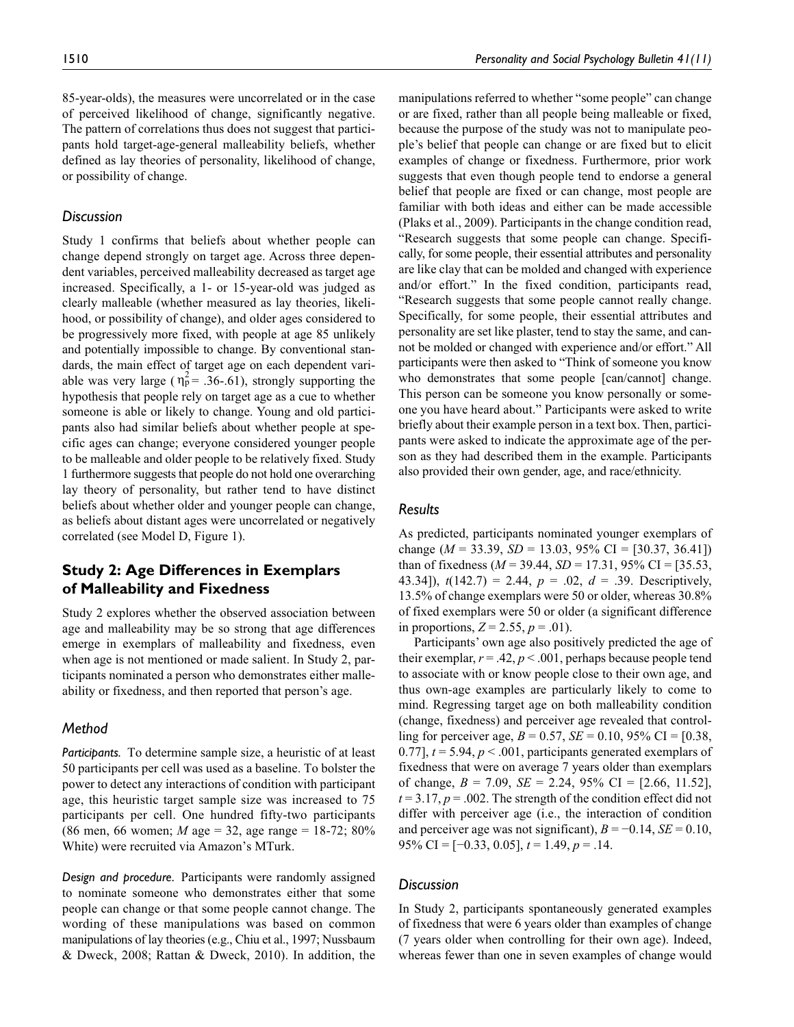85-year-olds), the measures were uncorrelated or in the case of perceived likelihood of change, significantly negative. The pattern of correlations thus does not suggest that participants hold target-age-general malleability beliefs, whether defined as lay theories of personality, likelihood of change, or possibility of change.

# *Discussion*

Study 1 confirms that beliefs about whether people can change depend strongly on target age. Across three dependent variables, perceived malleability decreased as target age increased. Specifically, a 1- or 15-year-old was judged as clearly malleable (whether measured as lay theories, likelihood, or possibility of change), and older ages considered to be progressively more fixed, with people at age 85 unlikely and potentially impossible to change. By conventional standards, the main effect of target age on each dependent variable was very large ( $\eta_p^2 = .36-.61$ ), strongly supporting the hypothesis that people rely on target age as a cue to whether someone is able or likely to change. Young and old participants also had similar beliefs about whether people at specific ages can change; everyone considered younger people to be malleable and older people to be relatively fixed. Study 1 furthermore suggests that people do not hold one overarching lay theory of personality, but rather tend to have distinct beliefs about whether older and younger people can change, as beliefs about distant ages were uncorrelated or negatively correlated (see Model D, Figure 1).

# **Study 2: Age Differences in Exemplars of Malleability and Fixedness**

Study 2 explores whether the observed association between age and malleability may be so strong that age differences emerge in exemplars of malleability and fixedness, even when age is not mentioned or made salient. In Study 2, participants nominated a person who demonstrates either malleability or fixedness, and then reported that person's age.

# *Method*

*Participants.* To determine sample size, a heuristic of at least 50 participants per cell was used as a baseline. To bolster the power to detect any interactions of condition with participant age, this heuristic target sample size was increased to 75 participants per cell. One hundred fifty-two participants (86 men, 66 women; *M* age = 32, age range = 18-72; 80% White) were recruited via Amazon's MTurk.

*Design and procedure.* Participants were randomly assigned to nominate someone who demonstrates either that some people can change or that some people cannot change. The wording of these manipulations was based on common manipulations of lay theories (e.g., Chiu et al., 1997; Nussbaum & Dweck, 2008; Rattan & Dweck, 2010). In addition, the

manipulations referred to whether "some people" can change or are fixed, rather than all people being malleable or fixed, because the purpose of the study was not to manipulate people's belief that people can change or are fixed but to elicit examples of change or fixedness. Furthermore, prior work suggests that even though people tend to endorse a general belief that people are fixed or can change, most people are familiar with both ideas and either can be made accessible (Plaks et al., 2009). Participants in the change condition read, "Research suggests that some people can change. Specifically, for some people, their essential attributes and personality are like clay that can be molded and changed with experience and/or effort." In the fixed condition, participants read, "Research suggests that some people cannot really change. Specifically, for some people, their essential attributes and personality are set like plaster, tend to stay the same, and cannot be molded or changed with experience and/or effort." All participants were then asked to "Think of someone you know who demonstrates that some people [can/cannot] change. This person can be someone you know personally or someone you have heard about." Participants were asked to write briefly about their example person in a text box. Then, participants were asked to indicate the approximate age of the person as they had described them in the example. Participants also provided their own gender, age, and race/ethnicity.

#### *Results*

As predicted, participants nominated younger exemplars of change (*M* = 33.39, *SD* = 13.03, 95% CI = [30.37, 36.41]) than of fixedness ( $M = 39.44$ ,  $SD = 17.31$ ,  $95\%$  CI = [35.53, 43.34]), *t*(142.7) = 2.44, *p* = .02, *d* = .39. Descriptively, 13.5% of change exemplars were 50 or older, whereas 30.8% of fixed exemplars were 50 or older (a significant difference in proportions,  $Z = 2.55$ ,  $p = .01$ ).

Participants' own age also positively predicted the age of their exemplar,  $r = .42$ ,  $p < .001$ , perhaps because people tend to associate with or know people close to their own age, and thus own-age examples are particularly likely to come to mind. Regressing target age on both malleability condition (change, fixedness) and perceiver age revealed that controlling for perceiver age,  $B = 0.57$ ,  $SE = 0.10$ ,  $95\%$  CI = [0.38, 0.77],  $t = 5.94$ ,  $p < .001$ , participants generated exemplars of fixedness that were on average 7 years older than exemplars of change, *B* = 7.09, *SE* = 2.24, 95% CI = [2.66, 11.52],  $t = 3.17$ ,  $p = .002$ . The strength of the condition effect did not differ with perceiver age (i.e., the interaction of condition and perceiver age was not significant),  $B = -0.14$ ,  $SE = 0.10$ , 95% CI = [−0.33, 0.05], *t* = 1.49, *p* = .14.

## *Discussion*

In Study 2, participants spontaneously generated examples of fixedness that were 6 years older than examples of change (7 years older when controlling for their own age). Indeed, whereas fewer than one in seven examples of change would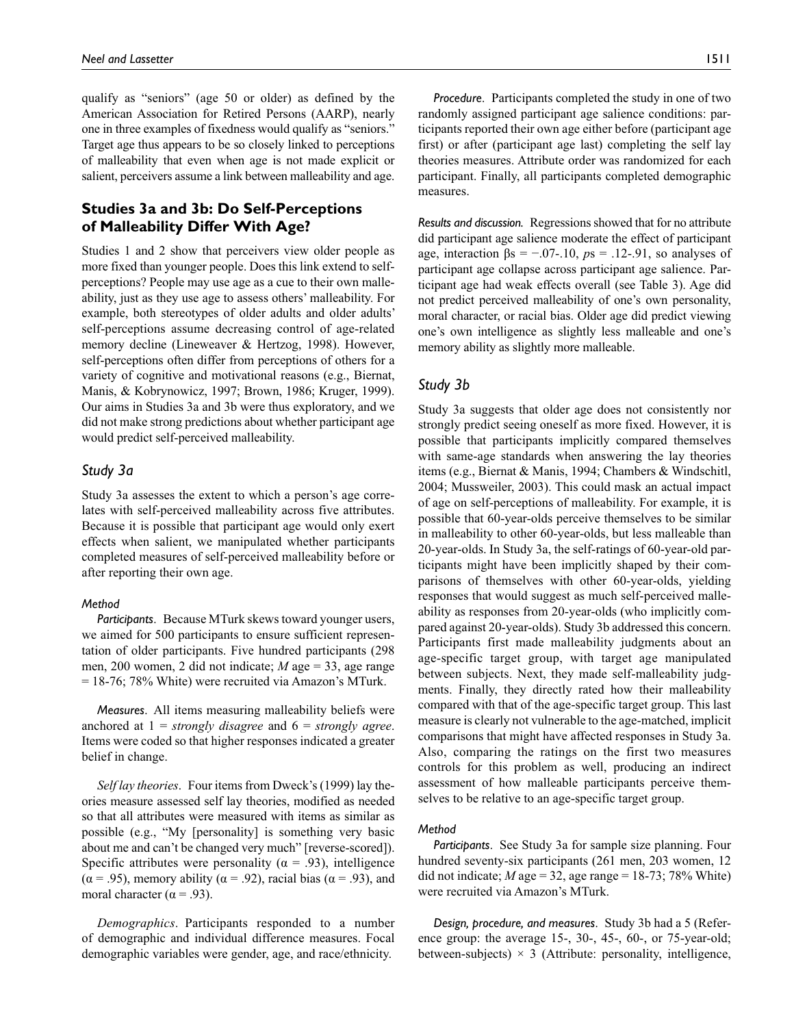qualify as "seniors" (age 50 or older) as defined by the American Association for Retired Persons (AARP), nearly one in three examples of fixedness would qualify as "seniors." Target age thus appears to be so closely linked to perceptions of malleability that even when age is not made explicit or salient, perceivers assume a link between malleability and age.

# **Studies 3a and 3b: Do Self-Perceptions of Malleability Differ With Age?**

Studies 1 and 2 show that perceivers view older people as more fixed than younger people. Does this link extend to selfperceptions? People may use age as a cue to their own malleability, just as they use age to assess others' malleability. For example, both stereotypes of older adults and older adults' self-perceptions assume decreasing control of age-related memory decline (Lineweaver & Hertzog, 1998). However, self-perceptions often differ from perceptions of others for a variety of cognitive and motivational reasons (e.g., Biernat, Manis, & Kobrynowicz, 1997; Brown, 1986; Kruger, 1999). Our aims in Studies 3a and 3b were thus exploratory, and we did not make strong predictions about whether participant age would predict self-perceived malleability.

### *Study 3a*

Study 3a assesses the extent to which a person's age correlates with self-perceived malleability across five attributes. Because it is possible that participant age would only exert effects when salient, we manipulated whether participants completed measures of self-perceived malleability before or after reporting their own age.

#### *Method*

*Participants*. Because MTurk skews toward younger users, we aimed for 500 participants to ensure sufficient representation of older participants. Five hundred participants (298 men, 200 women, 2 did not indicate; *M* age = 33, age range = 18-76; 78% White) were recruited via Amazon's MTurk.

*Measures*. All items measuring malleability beliefs were anchored at 1 = *strongly disagree* and 6 = *strongly agree*. Items were coded so that higher responses indicated a greater belief in change.

*Self lay theories*. Four items from Dweck's (1999) lay theories measure assessed self lay theories, modified as needed so that all attributes were measured with items as similar as possible (e.g., "My [personality] is something very basic about me and can't be changed very much" [reverse-scored]). Specific attributes were personality ( $\alpha$  = .93), intelligence  $(α = .95)$ , memory ability  $(α = .92)$ , racial bias  $(α = .93)$ , and moral character ( $\alpha$  = .93).

*Demographics*. Participants responded to a number of demographic and individual difference measures. Focal demographic variables were gender, age, and race/ethnicity.

*Procedure*. Participants completed the study in one of two randomly assigned participant age salience conditions: participants reported their own age either before (participant age first) or after (participant age last) completing the self lay theories measures. Attribute order was randomized for each participant. Finally, all participants completed demographic measures.

*Results and discussion.* Regressions showed that for no attribute did participant age salience moderate the effect of participant age, interaction  $\beta s = -.07-.10$ ,  $ps = .12-.91$ , so analyses of participant age collapse across participant age salience. Participant age had weak effects overall (see Table 3). Age did not predict perceived malleability of one's own personality, moral character, or racial bias. Older age did predict viewing one's own intelligence as slightly less malleable and one's memory ability as slightly more malleable.

# *Study 3b*

Study 3a suggests that older age does not consistently nor strongly predict seeing oneself as more fixed. However, it is possible that participants implicitly compared themselves with same-age standards when answering the lay theories items (e.g., Biernat & Manis, 1994; Chambers & Windschitl, 2004; Mussweiler, 2003). This could mask an actual impact of age on self-perceptions of malleability. For example, it is possible that 60-year-olds perceive themselves to be similar in malleability to other 60-year-olds, but less malleable than 20-year-olds. In Study 3a, the self-ratings of 60-year-old participants might have been implicitly shaped by their comparisons of themselves with other 60-year-olds, yielding responses that would suggest as much self-perceived malleability as responses from 20-year-olds (who implicitly compared against 20-year-olds). Study 3b addressed this concern. Participants first made malleability judgments about an age-specific target group, with target age manipulated between subjects. Next, they made self-malleability judgments. Finally, they directly rated how their malleability compared with that of the age-specific target group. This last measure is clearly not vulnerable to the age-matched, implicit comparisons that might have affected responses in Study 3a. Also, comparing the ratings on the first two measures controls for this problem as well, producing an indirect assessment of how malleable participants perceive themselves to be relative to an age-specific target group.

#### *Method*

*Participants*. See Study 3a for sample size planning. Four hundred seventy-six participants (261 men, 203 women, 12 did not indicate;  $M$  age = 32, age range = 18-73; 78% White) were recruited via Amazon's MTurk.

*Design, procedure, and measures*. Study 3b had a 5 (Reference group: the average 15-, 30-, 45-, 60-, or 75-year-old; between-subjects)  $\times$  3 (Attribute: personality, intelligence,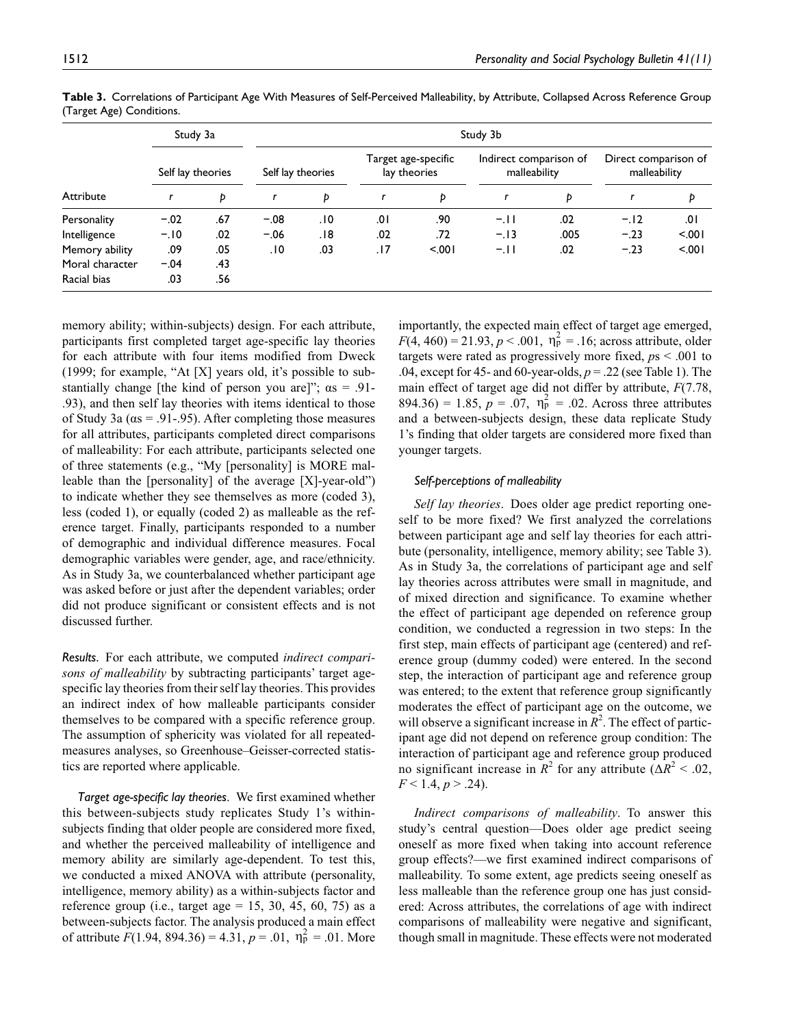|                 | Study 3a          |     |                   |     |     |                                     | Study 3b                               |      |                                      |        |
|-----------------|-------------------|-----|-------------------|-----|-----|-------------------------------------|----------------------------------------|------|--------------------------------------|--------|
|                 | Self lay theories |     | Self lay theories |     |     | Target age-specific<br>lay theories | Indirect comparison of<br>malleability |      | Direct comparison of<br>malleability |        |
| Attribute       |                   | Þ   | r                 | Þ   |     | Þ                                   |                                        | Þ    |                                      | Þ      |
| Personality     | $-.02$            | .67 | $-.08$            | .10 | 0۱. | .90                                 | $-.11$                                 | .02  | $-.12$                               | 0۱.    |
| Intelligence    | $-.10$            | .02 | $-.06$            | 18. | .02 | .72                                 | $-.13$                                 | .005 | $-.23$                               | 5.001  |
| Memory ability  | .09               | .05 | .10               | .03 | .17 | < 001                               | $-.11$                                 | .02  | $-.23$                               | < 0.01 |
| Moral character | $-.04$            | .43 |                   |     |     |                                     |                                        |      |                                      |        |
| Racial bias     | .03               | .56 |                   |     |     |                                     |                                        |      |                                      |        |

**Table 3.** Correlations of Participant Age With Measures of Self-Perceived Malleability, by Attribute, Collapsed Across Reference Group (Target Age) Conditions.

memory ability; within-subjects) design. For each attribute, participants first completed target age-specific lay theories for each attribute with four items modified from Dweck (1999; for example, "At [X] years old, it's possible to substantially change [the kind of person you are]";  $\alpha s = .91$ -.93), and then self lay theories with items identical to those of Study 3a ( $\alpha$ s = .91-.95). After completing those measures for all attributes, participants completed direct comparisons of malleability: For each attribute, participants selected one of three statements (e.g., "My [personality] is MORE malleable than the [personality] of the average [X]-year-old") to indicate whether they see themselves as more (coded 3), less (coded 1), or equally (coded 2) as malleable as the reference target. Finally, participants responded to a number of demographic and individual difference measures. Focal demographic variables were gender, age, and race/ethnicity. As in Study 3a, we counterbalanced whether participant age was asked before or just after the dependent variables; order did not produce significant or consistent effects and is not discussed further.

*Results.* For each attribute, we computed *indirect comparisons of malleability* by subtracting participants' target agespecific lay theories from their self lay theories. This provides an indirect index of how malleable participants consider themselves to be compared with a specific reference group. The assumption of sphericity was violated for all repeatedmeasures analyses, so Greenhouse–Geisser-corrected statistics are reported where applicable.

*Target age-specific lay theories*. We first examined whether this between-subjects study replicates Study 1's withinsubjects finding that older people are considered more fixed, and whether the perceived malleability of intelligence and memory ability are similarly age-dependent. To test this, we conducted a mixed ANOVA with attribute (personality, intelligence, memory ability) as a within-subjects factor and reference group (i.e., target age  $= 15, 30, 45, 60, 75$ ) as a between-subjects factor. The analysis produced a main effect of attribute  $F(1.94, 894.36) = 4.31, p = .01, \eta_p^2 = .01$ . More

importantly, the expected main effect of target age emerged,  $F(4, 460) = 21.93, p < .001, \eta_p^2 = .16$ ; across attribute, older targets were rated as progressively more fixed, *p*s < .001 to .04, except for 45- and 60-year-olds, *p* = .22 (see Table 1). The main effect of target age did not differ by attribute, *F*(7.78,  $894.36$ ) = 1.85,  $p = .07$ ,  $\eta_p^2 = .02$ . Across three attributes and a between-subjects design, these data replicate Study 1's finding that older targets are considered more fixed than younger targets.

#### *Self-perceptions of malleability*

*Self lay theories*. Does older age predict reporting oneself to be more fixed? We first analyzed the correlations between participant age and self lay theories for each attribute (personality, intelligence, memory ability; see Table 3). As in Study 3a, the correlations of participant age and self lay theories across attributes were small in magnitude, and of mixed direction and significance. To examine whether the effect of participant age depended on reference group condition, we conducted a regression in two steps: In the first step, main effects of participant age (centered) and reference group (dummy coded) were entered. In the second step, the interaction of participant age and reference group was entered; to the extent that reference group significantly moderates the effect of participant age on the outcome, we will observe a significant increase in  $R^2$ . The effect of participant age did not depend on reference group condition: The interaction of participant age and reference group produced no significant increase in  $R^2$  for any attribute ( $\Delta R^2 < .02$ ,  $F < 1.4, p > .24$ ).

*Indirect comparisons of malleability*. To answer this study's central question—Does older age predict seeing oneself as more fixed when taking into account reference group effects?—we first examined indirect comparisons of malleability. To some extent, age predicts seeing oneself as less malleable than the reference group one has just considered: Across attributes, the correlations of age with indirect comparisons of malleability were negative and significant, though small in magnitude. These effects were not moderated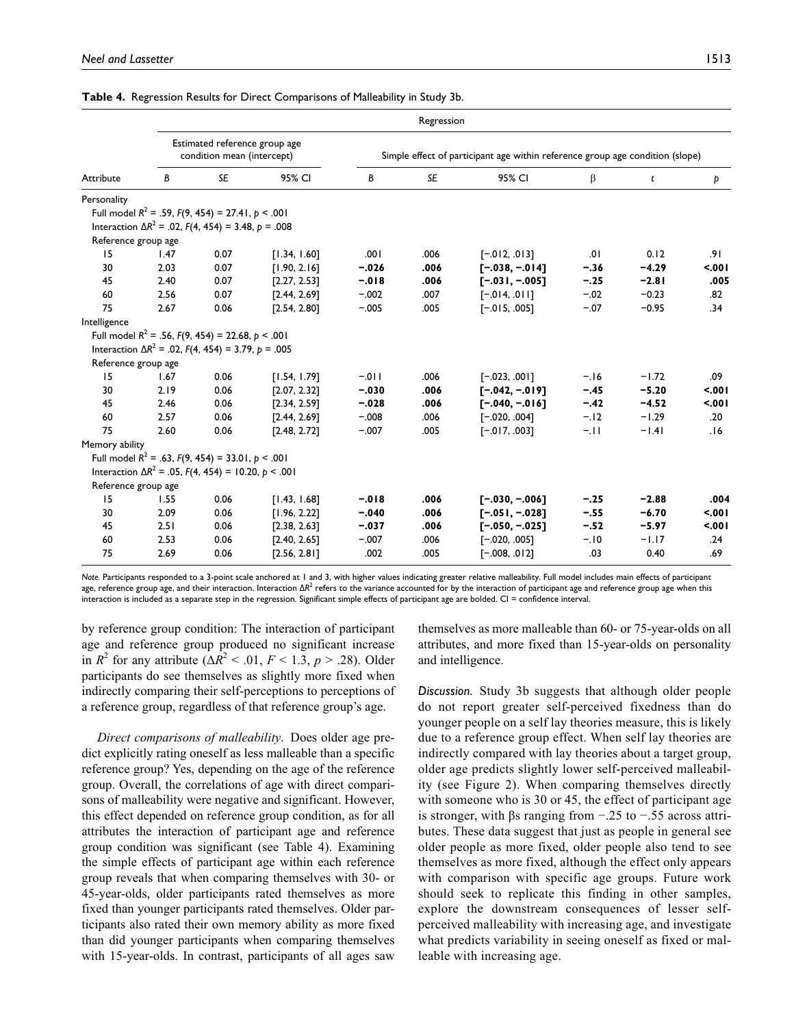|    |                                                             | on Results for Direct Comparisons of Malleability in Study 3b. |         |            |                                                                               |        |         |       |
|----|-------------------------------------------------------------|----------------------------------------------------------------|---------|------------|-------------------------------------------------------------------------------|--------|---------|-------|
|    |                                                             |                                                                |         | Regression |                                                                               |        |         |       |
|    | Estimated reference group age<br>condition mean (intercept) |                                                                |         |            | Simple effect of participant age within reference group age condition (slope) |        |         |       |
|    | <b>SE</b>                                                   | 95% CI                                                         | В       | SE         | 95% CI                                                                        | β      |         | Þ     |
|    | $F(9, 454) = 27.41, p < .001$                               |                                                                |         |            |                                                                               |        |         |       |
|    | 02, $F(4, 454) = 3.48$ , $p = .008$                         |                                                                |         |            |                                                                               |        |         |       |
| Įе | 0.07                                                        | [1.34, 1.60]                                                   | .001    | .006       | $[-.012, .013]$                                                               | .01    | 0.12    | .9۱   |
| 3  | 0.07                                                        | [1.90, 2.16]                                                   | $-.026$ | .006       | $[-.038, -.014]$                                                              | $-.36$ | $-4.29$ | 5.001 |
| 0  | 0.07                                                        | [2.27, 2.53]                                                   | $-.018$ | .006       | $[-.031, -.005]$                                                              | $-.25$ | $-2.81$ | .005  |
|    |                                                             |                                                                |         |            |                                                                               |        |         |       |

|  |  |  |  | Table 4. Regression Results for Direct Comparisons of Malleability in Study 3b. |  |  |  |
|--|--|--|--|---------------------------------------------------------------------------------|--|--|--|
|--|--|--|--|---------------------------------------------------------------------------------|--|--|--|

| Attribute           | B    | <b>SE</b>                                                       | 95% CI       | B       | SE   | 95% CI           | β      | t       | Þ     |
|---------------------|------|-----------------------------------------------------------------|--------------|---------|------|------------------|--------|---------|-------|
| Personality         |      |                                                                 |              |         |      |                  |        |         |       |
|                     |      | Full model $R^2$ = .59, $F(9, 454)$ = 27.41, $p < .001$         |              |         |      |                  |        |         |       |
|                     |      | Interaction $\Delta R^2$ = .02, $F(4, 454)$ = 3.48, $p = .008$  |              |         |      |                  |        |         |       |
| Reference group age |      |                                                                 |              |         |      |                  |        |         |       |
| 15                  | 1.47 | 0.07                                                            | [1.34, 1.60] | .001    | .006 | $[-.012, .013]$  | .01    | 0.12    | .91   |
| 30                  | 2.03 | 0.07                                                            | [1.90, 2.16] | $-.026$ | .006 | $[-.038, -.014]$ | $-.36$ | $-4.29$ | 5.001 |
| 45                  | 2.40 | 0.07                                                            | [2.27, 2.53] | $-.018$ | .006 | $[-.031, -.005]$ | $-.25$ | $-2.81$ | .005  |
| 60                  | 2.56 | 0.07                                                            | [2.44, 2.69] | $-.002$ | .007 | $[-.014, .011]$  | $-.02$ | $-0.23$ | .82   |
| 75                  | 2.67 | 0.06                                                            | [2.54, 2.80] | $-.005$ | .005 | $[-.015, .005]$  | $-.07$ | $-0.95$ | .34   |
| Intelligence        |      |                                                                 |              |         |      |                  |        |         |       |
|                     |      | Full model $R^2$ = .56, $F(9, 454)$ = 22.68, $p < .001$         |              |         |      |                  |        |         |       |
|                     |      | Interaction $\Delta R^2$ = .02, $F(4, 454)$ = 3.79, $p = .005$  |              |         |      |                  |        |         |       |
| Reference group age |      |                                                                 |              |         |      |                  |        |         |       |
| 15                  | 1.67 | 0.06                                                            | [1.54, 1.79] | $-.011$ | .006 | $[-.023, .001]$  | $-.16$ | $-1.72$ | .09   |
| 30                  | 2.19 | 0.06                                                            | [2.07, 2.32] | $-.030$ | .006 | $[-.042, -.019]$ | $-.45$ | $-5.20$ | 5.001 |
| 45                  | 2.46 | 0.06                                                            | [2.34, 2.59] | $-.028$ | .006 | $[-.040, -.016]$ | $-.42$ | $-4.52$ | 5.001 |
| 60                  | 2.57 | 0.06                                                            | [2.44, 2.69] | $-.008$ | .006 | $[-.020, .004]$  | $-.12$ | $-1.29$ | .20   |
| 75                  | 2.60 | 0.06                                                            | [2.48, 2.72] | $-.007$ | .005 | $[-.017, .003]$  | $-11.$ | $-1.41$ | 16.   |
| Memory ability      |      |                                                                 |              |         |      |                  |        |         |       |
|                     |      | Full model $R^2$ = .63, $F(9, 454)$ = 33.01, $p < .001$         |              |         |      |                  |        |         |       |
|                     |      | Interaction $\Delta R^2$ = .05, $F(4, 454)$ = 10.20, $p < .001$ |              |         |      |                  |        |         |       |
| Reference group age |      |                                                                 |              |         |      |                  |        |         |       |
| 15                  | 1.55 | 0.06                                                            | [1.43, 1.68] | $-.018$ | .006 | $[-.030, -.006]$ | $-.25$ | $-2.88$ | .004  |
| 30                  | 2.09 | 0.06                                                            | [1.96, 2.22] | $-.040$ | .006 | $[-.051, -.028]$ | $-.55$ | $-6.70$ | 5.001 |
| 45                  | 2.51 | 0.06                                                            | [2.38, 2.63] | $-.037$ | .006 | $[-.050, -.025]$ | $-.52$ | $-5.97$ | 5.001 |
| 60                  | 2.53 | 0.06                                                            | [2.40, 2.65] | $-.007$ | .006 | $[-.020, .005]$  | $-.10$ | $-1.17$ | .24   |
| 75                  | 2.69 | 0.06                                                            | [2.56, 2.81] | .002    | .005 | $[-.008, .012]$  | .03    | 0.40    | .69   |

*Note.* Participants responded to a 3-point scale anchored at 1 and 3, with higher values indicating greater relative malleability. Full model includes main effects of participant age, reference group age, and their interaction. Interaction ΔR<sup>2</sup> refers to the variance accounted for by the interaction of participant age and reference group age when this interaction is included as a separate step in the regression. Significant simple effects of participant age are bolded. CI = confidence interval.

by reference group condition: The interaction of participant age and reference group produced no significant increase in  $R^2$  for any attribute ( $\Delta R^2 < .01$ ,  $F < 1.3$ ,  $p > .28$ ). Older participants do see themselves as slightly more fixed when indirectly comparing their self-perceptions to perceptions of a reference group, regardless of that reference group's age.

*Direct comparisons of malleability*. Does older age predict explicitly rating oneself as less malleable than a specific reference group? Yes, depending on the age of the reference group. Overall, the correlations of age with direct comparisons of malleability were negative and significant. However, this effect depended on reference group condition, as for all attributes the interaction of participant age and reference group condition was significant (see Table 4). Examining the simple effects of participant age within each reference group reveals that when comparing themselves with 30- or 45-year-olds, older participants rated themselves as more fixed than younger participants rated themselves. Older participants also rated their own memory ability as more fixed than did younger participants when comparing themselves with 15-year-olds. In contrast, participants of all ages saw

themselves as more malleable than 60- or 75-year-olds on all attributes, and more fixed than 15-year-olds on personality and intelligence.

*Discussion.* Study 3b suggests that although older people do not report greater self-perceived fixedness than do younger people on a self lay theories measure, this is likely due to a reference group effect. When self lay theories are indirectly compared with lay theories about a target group, older age predicts slightly lower self-perceived malleability (see Figure 2). When comparing themselves directly with someone who is 30 or 45, the effect of participant age is stronger, with βs ranging from −.25 to −.55 across attributes. These data suggest that just as people in general see older people as more fixed, older people also tend to see themselves as more fixed, although the effect only appears with comparison with specific age groups. Future work should seek to replicate this finding in other samples, explore the downstream consequences of lesser selfperceived malleability with increasing age, and investigate what predicts variability in seeing oneself as fixed or malleable with increasing age.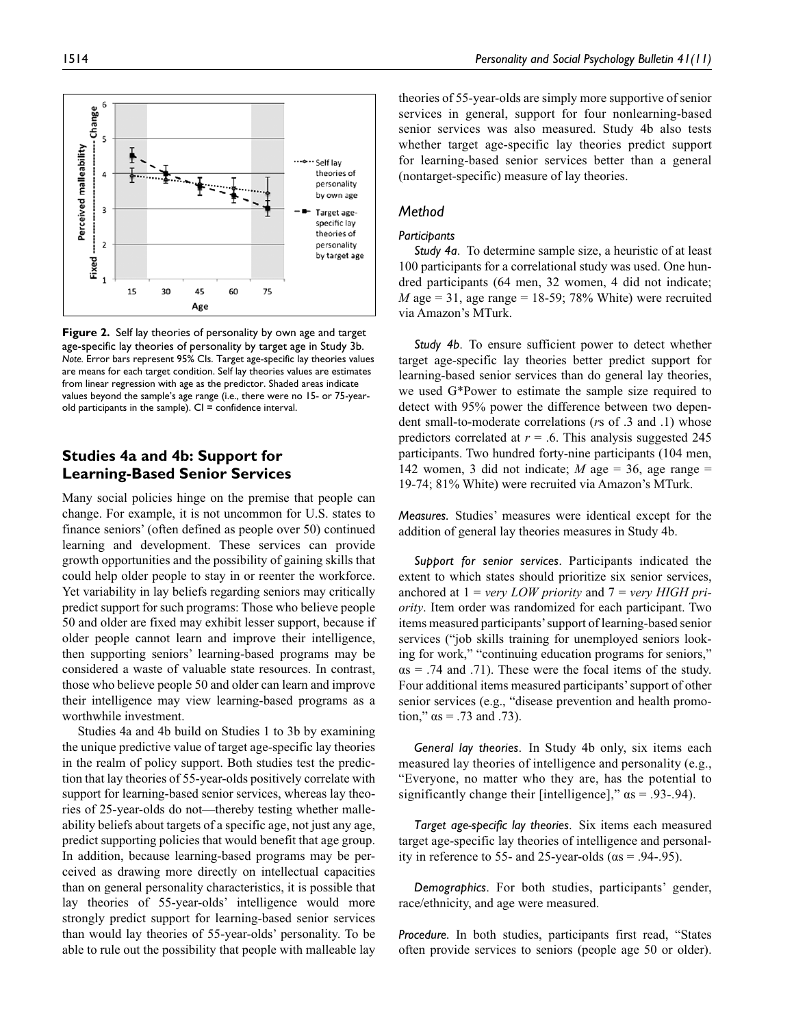

**Figure 2.** Self lay theories of personality by own age and target age-specific lay theories of personality by target age in Study 3b. *Note.* Error bars represent 95% CIs. Target age-specific lay theories values are means for each target condition. Self lay theories values are estimates from linear regression with age as the predictor. Shaded areas indicate values beyond the sample's age range (i.e., there were no 15- or 75-yearold participants in the sample).  $CI =$  confidence interval.

# **Studies 4a and 4b: Support for Learning-Based Senior Services**

Many social policies hinge on the premise that people can change. For example, it is not uncommon for U.S. states to finance seniors' (often defined as people over 50) continued learning and development. These services can provide growth opportunities and the possibility of gaining skills that could help older people to stay in or reenter the workforce. Yet variability in lay beliefs regarding seniors may critically predict support for such programs: Those who believe people 50 and older are fixed may exhibit lesser support, because if older people cannot learn and improve their intelligence, then supporting seniors' learning-based programs may be considered a waste of valuable state resources. In contrast, those who believe people 50 and older can learn and improve their intelligence may view learning-based programs as a worthwhile investment.

Studies 4a and 4b build on Studies 1 to 3b by examining the unique predictive value of target age-specific lay theories in the realm of policy support. Both studies test the prediction that lay theories of 55-year-olds positively correlate with support for learning-based senior services, whereas lay theories of 25-year-olds do not—thereby testing whether malleability beliefs about targets of a specific age, not just any age, predict supporting policies that would benefit that age group. In addition, because learning-based programs may be perceived as drawing more directly on intellectual capacities than on general personality characteristics, it is possible that lay theories of 55-year-olds' intelligence would more strongly predict support for learning-based senior services than would lay theories of 55-year-olds' personality. To be able to rule out the possibility that people with malleable lay

theories of 55-year-olds are simply more supportive of senior services in general, support for four nonlearning-based senior services was also measured. Study 4b also tests whether target age-specific lay theories predict support for learning-based senior services better than a general (nontarget-specific) measure of lay theories.

### *Method*

#### *Participants*

*Study 4a*. To determine sample size, a heuristic of at least 100 participants for a correlational study was used. One hundred participants (64 men, 32 women, 4 did not indicate;  $M$  age = 31, age range = 18-59; 78% White) were recruited via Amazon's MTurk.

*Study 4b*. To ensure sufficient power to detect whether target age-specific lay theories better predict support for learning-based senior services than do general lay theories, we used G\*Power to estimate the sample size required to detect with 95% power the difference between two dependent small-to-moderate correlations (*r*s of .3 and .1) whose predictors correlated at  $r = 0.6$ . This analysis suggested 245 participants. Two hundred forty-nine participants (104 men, 142 women, 3 did not indicate;  $M$  age = 36, age range = 19-74; 81% White) were recruited via Amazon's MTurk.

*Measures.* Studies' measures were identical except for the addition of general lay theories measures in Study 4b.

*Support for senior services*. Participants indicated the extent to which states should prioritize six senior services, anchored at 1 = *very LOW priority* and 7 = *very HIGH priority*. Item order was randomized for each participant. Two items measured participants' support of learning-based senior services ("job skills training for unemployed seniors looking for work," "continuing education programs for seniors,"  $\alpha s = .74$  and .71). These were the focal items of the study. Four additional items measured participants' support of other senior services (e.g., "disease prevention and health promotion,"  $\alpha s = .73$  and .73).

*General lay theories*. In Study 4b only, six items each measured lay theories of intelligence and personality (e.g., "Everyone, no matter who they are, has the potential to significantly change their [intelligence],"  $\alpha$ s = .93-.94).

*Target age-specific lay theories*. Six items each measured target age-specific lay theories of intelligence and personality in reference to 55- and 25-year-olds ( $\alpha$ s = .94-.95).

*Demographics*. For both studies, participants' gender, race/ethnicity, and age were measured.

*Procedure.* In both studies, participants first read, "States often provide services to seniors (people age 50 or older).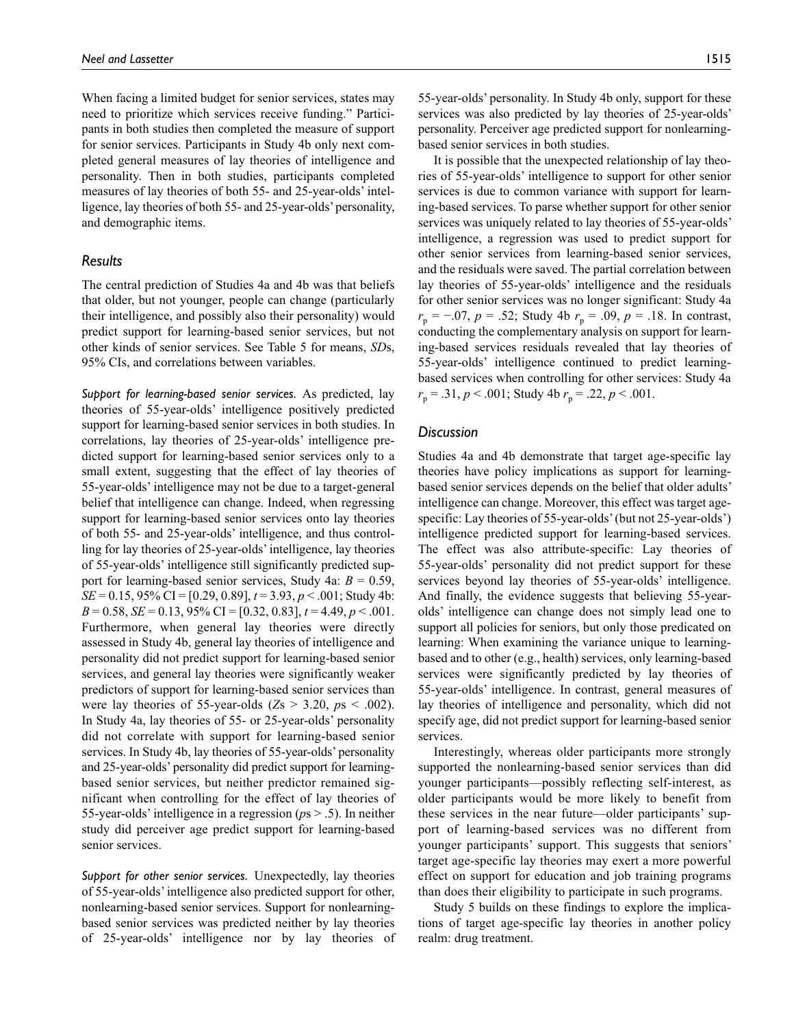When facing a limited budget for senior services, states may need to prioritize which services receive funding." Participants in both studies then completed the measure of support for senior services. Participants in Study 4b only next completed general measures of lay theories of intelligence and personality. Then in both studies, participants completed measures of lay theories of both 55- and 25-year-olds' intelligence, lay theories of both 55- and 25-year-olds' personality, and demographic items.

### *Results*

The central prediction of Studies 4a and 4b was that beliefs that older, but not younger, people can change (particularly their intelligence, and possibly also their personality) would predict support for learning-based senior services, but not other kinds of senior services. See Table 5 for means, *SD*s, 95% CIs, and correlations between variables.

*Support for learning-based senior services.* As predicted, lay theories of 55-year-olds' intelligence positively predicted support for learning-based senior services in both studies. In correlations, lay theories of 25-year-olds' intelligence predicted support for learning-based senior services only to a small extent, suggesting that the effect of lay theories of 55-year-olds' intelligence may not be due to a target-general belief that intelligence can change. Indeed, when regressing support for learning-based senior services onto lay theories of both 55- and 25-year-olds' intelligence, and thus controlling for lay theories of 25-year-olds' intelligence, lay theories of 55-year-olds' intelligence still significantly predicted support for learning-based senior services, Study 4a: *B* = 0.59, *SE* = 0.15, 95% CI = [0.29, 0.89], *t* = 3.93, *p* < .001; Study 4b: *B* = 0.58, *SE* = 0.13, 95% CI = [0.32, 0.83], *t* = 4.49, *p* < .001. Furthermore, when general lay theories were directly assessed in Study 4b, general lay theories of intelligence and personality did not predict support for learning-based senior services, and general lay theories were significantly weaker predictors of support for learning-based senior services than were lay theories of 55-year-olds  $(Zs > 3.20, ps < .002)$ . In Study 4a, lay theories of 55- or 25-year-olds' personality did not correlate with support for learning-based senior services. In Study 4b, lay theories of 55-year-olds' personality and 25-year-olds' personality did predict support for learningbased senior services, but neither predictor remained significant when controlling for the effect of lay theories of 55-year-olds' intelligence in a regression (*p*s > .5). In neither study did perceiver age predict support for learning-based senior services.

*Support for other senior services.* Unexpectedly, lay theories of 55-year-olds' intelligence also predicted support for other, nonlearning-based senior services. Support for nonlearningbased senior services was predicted neither by lay theories of 25-year-olds' intelligence nor by lay theories of 55-year-olds' personality. In Study 4b only, support for these services was also predicted by lay theories of 25-year-olds' personality. Perceiver age predicted support for nonlearningbased senior services in both studies.

It is possible that the unexpected relationship of lay theories of 55-year-olds' intelligence to support for other senior services is due to common variance with support for learning-based services. To parse whether support for other senior services was uniquely related to lay theories of 55-year-olds' intelligence, a regression was used to predict support for other senior services from learning-based senior services, and the residuals were saved. The partial correlation between lay theories of 55-year-olds' intelligence and the residuals for other senior services was no longer significant: Study 4a  $r_p = -.07$ ,  $p = .52$ ; Study 4b  $r_p = .09$ ,  $p = .18$ . In contrast, conducting the complementary analysis on support for learning-based services residuals revealed that lay theories of 55-year-olds' intelligence continued to predict learningbased services when controlling for other services: Study 4a  $r_p = .31, p < .001$ ; Study 4b  $r_p = .22, p < .001$ .

# *Discussion*

Studies 4a and 4b demonstrate that target age-specific lay theories have policy implications as support for learningbased senior services depends on the belief that older adults' intelligence can change. Moreover, this effect was target agespecific: Lay theories of 55-year-olds' (but not 25-year-olds') intelligence predicted support for learning-based services. The effect was also attribute-specific: Lay theories of 55-year-olds' personality did not predict support for these services beyond lay theories of 55-year-olds' intelligence. And finally, the evidence suggests that believing 55-yearolds' intelligence can change does not simply lead one to support all policies for seniors, but only those predicated on learning: When examining the variance unique to learningbased and to other (e.g., health) services, only learning-based services were significantly predicted by lay theories of 55-year-olds' intelligence. In contrast, general measures of lay theories of intelligence and personality, which did not specify age, did not predict support for learning-based senior services.

Interestingly, whereas older participants more strongly supported the nonlearning-based senior services than did younger participants—possibly reflecting self-interest, as older participants would be more likely to benefit from these services in the near future—older participants' support of learning-based services was no different from younger participants' support. This suggests that seniors' target age-specific lay theories may exert a more powerful effect on support for education and job training programs than does their eligibility to participate in such programs.

Study 5 builds on these findings to explore the implications of target age-specific lay theories in another policy realm: drug treatment.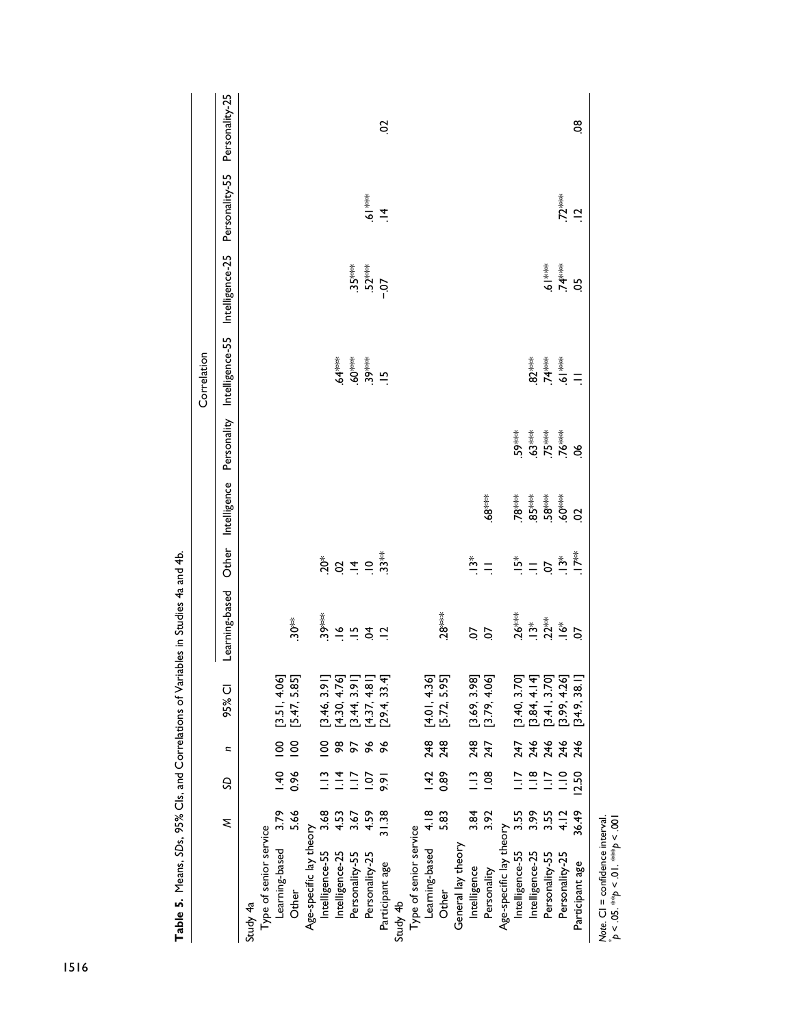|                         |       |                |                |                                  |                                                |                                                                                                                                                                                                                                             |                     |   | Correlation                                                                                                                |                      |                |                |
|-------------------------|-------|----------------|----------------|----------------------------------|------------------------------------------------|---------------------------------------------------------------------------------------------------------------------------------------------------------------------------------------------------------------------------------------------|---------------------|---|----------------------------------------------------------------------------------------------------------------------------|----------------------|----------------|----------------|
|                         | ξ     | SD             | 2              | 95% CI                           | Learning-based                                 |                                                                                                                                                                                                                                             | Other Intelligence  |   | Personality Intelligence-55                                                                                                | Intelligence-25      | Personality-55 | Personality-25 |
| Study 4a                |       |                |                |                                  |                                                |                                                                                                                                                                                                                                             |                     |   |                                                                                                                            |                      |                |                |
| Type of senior service  |       |                |                |                                  |                                                |                                                                                                                                                                                                                                             |                     |   |                                                                                                                            |                      |                |                |
| Learning-based          | 3.79  | $\frac{40}{1}$ | $\overline{8}$ | [3.51, 4.06]                     |                                                |                                                                                                                                                                                                                                             |                     |   |                                                                                                                            |                      |                |                |
| Other                   | 5.66  | 0.96           | $\overline{8}$ | [5.47, 5.85]                     | $30^{**}$                                      |                                                                                                                                                                                                                                             |                     |   |                                                                                                                            |                      |                |                |
| Age-specific lay theory |       |                |                |                                  |                                                |                                                                                                                                                                                                                                             |                     |   |                                                                                                                            |                      |                |                |
| Intelligence-55         | 3.68  | $\frac{1}{2}$  | $\overline{8}$ | [3.46, 3.9]                      |                                                |                                                                                                                                                                                                                                             |                     |   |                                                                                                                            |                      |                |                |
| Intelligence-25         | 4.53  | $\frac{4}{1}$  | 98             | [4.30, 4.76]                     | **<br>\$;<br>9; 9; 9; 9; 9;                    | $\begin{array}{c} \stackrel{*}{\diamond} \\ \stackrel{*}{\diamond} \\ \stackrel{*}{\diamond} \\ \stackrel{*}{\diamond} \\ \stackrel{*}{\diamond} \\ \stackrel{*}{\diamond} \\ \stackrel{*}{\diamond} \\ \stackrel{*}{\diamond} \end{array}$ |                     |   |                                                                                                                            |                      |                |                |
| Personality-55          | 3.67  | $\frac{1}{2}$  | 57             | [3.44, 3.91]                     |                                                |                                                                                                                                                                                                                                             |                     |   |                                                                                                                            |                      |                |                |
| Personality-25          | 4.59  | $-0.1$         | æ              | [4.37, 4.8]                      |                                                |                                                                                                                                                                                                                                             |                     |   |                                                                                                                            |                      |                |                |
| Participant age         | 31.38 | 9.91           | 96             | [29.4, 33.4]                     |                                                |                                                                                                                                                                                                                                             |                     |   |                                                                                                                            | $-55***$<br>$-52***$ | $-14$<br>$-14$ | S              |
| Study 4b                |       |                |                |                                  |                                                |                                                                                                                                                                                                                                             |                     |   |                                                                                                                            |                      |                |                |
| Type of senior service  |       |                |                |                                  |                                                |                                                                                                                                                                                                                                             |                     |   |                                                                                                                            |                      |                |                |
| Learning-based          | 4.18  | $\frac{42}{5}$ | 248            | [4.01, 4.36]                     |                                                |                                                                                                                                                                                                                                             |                     |   |                                                                                                                            |                      |                |                |
| Other                   | 5.83  | 0.89           | 248            | [5.72, 5.95]                     | $.28***$                                       |                                                                                                                                                                                                                                             |                     |   |                                                                                                                            |                      |                |                |
| General lay theory      |       |                |                |                                  |                                                |                                                                                                                                                                                                                                             |                     |   |                                                                                                                            |                      |                |                |
| Intelligence            | 3.84  | $\frac{1}{2}$  | 248            | [3.69, 3.98]                     | Lo.                                            |                                                                                                                                                                                                                                             |                     |   |                                                                                                                            |                      |                |                |
| Personality             | 3.92  | 0.08           | 247            | [3.79, 4.06]                     | ζÓ.                                            | $\stackrel{*}{\sim}$ $=$                                                                                                                                                                                                                    | $68***$             |   |                                                                                                                            |                      |                |                |
| Age-specific lay theory |       |                |                |                                  |                                                |                                                                                                                                                                                                                                             |                     |   |                                                                                                                            |                      |                |                |
| Intelligence-55         |       | $\frac{1}{2}$  | 247            | [3.40, 3.70]                     |                                                |                                                                                                                                                                                                                                             |                     |   |                                                                                                                            |                      |                |                |
| Intelligence-25         | 3.99  | $\frac{8}{1}$  | 246            |                                  |                                                |                                                                                                                                                                                                                                             |                     |   |                                                                                                                            |                      |                |                |
| Personality-55          | 3.55  | $\frac{1}{2}$  | 246            | $[3.84, 4.14]$<br>$[3.41, 3.70]$ |                                                |                                                                                                                                                                                                                                             |                     |   |                                                                                                                            |                      |                |                |
| Personality-25          | 4.12  | $\frac{1}{2}$  | 246            |                                  | **<br>2° <u>*</u> * 2° <u>*</u><br>2° 2° 2° 30 | $\stackrel{*}{\sim} = 5 \stackrel{*}{\sim}$                                                                                                                                                                                                 | * * * *<br>83.88.99 |   | $\begin{array}{c} 2^{3} \frac{1}{2} \\ 2^{3} \frac{1}{2} \\ 3^{2} \frac{1}{2} \\ 4^{3} \frac{1}{2} \\ 5^{2} \end{array} =$ | ***16.<br>74***      | $.72***$       |                |
| Participant age         | 36.49 | 12.50          | 246            | $[3.99, 4.26]$<br>$[34.9, 38.1]$ |                                                | $\sum_{i=1}^{n}$                                                                                                                                                                                                                            | $\overline{c}$      | 8 |                                                                                                                            | ෪.                   | $\frac{1}{2}$  | g              |
|                         |       |                |                |                                  |                                                |                                                                                                                                                                                                                                             |                     |   |                                                                                                                            |                      |                |                |

Table 5. Means, SDs, 95% Cls, and Correlations of Variables in Studies 4a and 4b. **Table 5.** Means, *SD*s, 95% CIs, and Correlations of Variables in Studies 4a and 4b.

*Note.* CI = confidence interval. Note. CI = confidence interval.<br>  $*_{p} < .05$ .  $**_{p} < .01$ .  $***_{p} < .001$ *p* < .05. \*\**p* < .01. \*\*\**p* < .001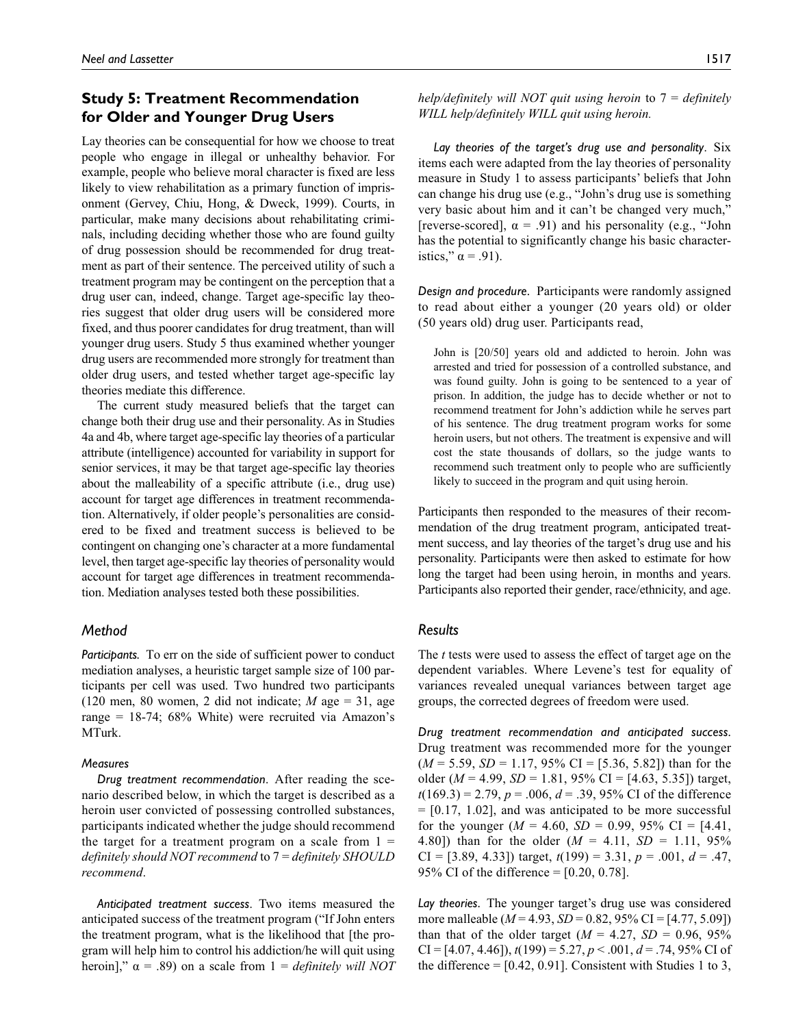# **Study 5: Treatment Recommendation for Older and Younger Drug Users**

Lay theories can be consequential for how we choose to treat people who engage in illegal or unhealthy behavior. For example, people who believe moral character is fixed are less likely to view rehabilitation as a primary function of imprisonment (Gervey, Chiu, Hong, & Dweck, 1999). Courts, in particular, make many decisions about rehabilitating criminals, including deciding whether those who are found guilty of drug possession should be recommended for drug treatment as part of their sentence. The perceived utility of such a treatment program may be contingent on the perception that a drug user can, indeed, change. Target age-specific lay theories suggest that older drug users will be considered more fixed, and thus poorer candidates for drug treatment, than will younger drug users. Study 5 thus examined whether younger drug users are recommended more strongly for treatment than older drug users, and tested whether target age-specific lay theories mediate this difference.

The current study measured beliefs that the target can change both their drug use and their personality. As in Studies 4a and 4b, where target age-specific lay theories of a particular attribute (intelligence) accounted for variability in support for senior services, it may be that target age-specific lay theories about the malleability of a specific attribute (i.e., drug use) account for target age differences in treatment recommendation. Alternatively, if older people's personalities are considered to be fixed and treatment success is believed to be contingent on changing one's character at a more fundamental level, then target age-specific lay theories of personality would account for target age differences in treatment recommendation. Mediation analyses tested both these possibilities.

# *Method*

*Participants.* To err on the side of sufficient power to conduct mediation analyses, a heuristic target sample size of 100 participants per cell was used. Two hundred two participants (120 men, 80 women, 2 did not indicate;  $M$  age = 31, age range = 18-74; 68% White) were recruited via Amazon's MTurk.

### *Measures*

*Drug treatment recommendation*. After reading the scenario described below, in which the target is described as a heroin user convicted of possessing controlled substances, participants indicated whether the judge should recommend the target for a treatment program on a scale from  $1 =$ *definitely should NOT recommend* to 7 = *definitely SHOULD recommend*.

*Anticipated treatment success*. Two items measured the anticipated success of the treatment program ("If John enters the treatment program, what is the likelihood that [the program will help him to control his addiction/he will quit using heroin],"  $\alpha$  = .89) on a scale from 1 = *definitely will NOT*  *help/definitely will NOT quit using heroin* to 7 = *definitely WILL help/definitely WILL quit using heroin.*

*Lay theories of the target's drug use and personality*. Six items each were adapted from the lay theories of personality measure in Study 1 to assess participants' beliefs that John can change his drug use (e.g., "John's drug use is something very basic about him and it can't be changed very much," [reverse-scored],  $\alpha = .91$ ) and his personality (e.g., "John has the potential to significantly change his basic characteristics,"  $\alpha$  = .91).

*Design and procedure.* Participants were randomly assigned to read about either a younger (20 years old) or older (50 years old) drug user. Participants read,

John is [20/50] years old and addicted to heroin. John was arrested and tried for possession of a controlled substance, and was found guilty. John is going to be sentenced to a year of prison. In addition, the judge has to decide whether or not to recommend treatment for John's addiction while he serves part of his sentence. The drug treatment program works for some heroin users, but not others. The treatment is expensive and will cost the state thousands of dollars, so the judge wants to recommend such treatment only to people who are sufficiently likely to succeed in the program and quit using heroin.

Participants then responded to the measures of their recommendation of the drug treatment program, anticipated treatment success, and lay theories of the target's drug use and his personality. Participants were then asked to estimate for how long the target had been using heroin, in months and years. Participants also reported their gender, race/ethnicity, and age.

# *Results*

The *t* tests were used to assess the effect of target age on the dependent variables. Where Levene's test for equality of variances revealed unequal variances between target age groups, the corrected degrees of freedom were used.

*Drug treatment recommendation and anticipated success.* Drug treatment was recommended more for the younger  $(M = 5.59, SD = 1.17, 95\% \text{ CI} = [5.36, 5.82])$  than for the older ( $M = 4.99$ ,  $SD = 1.81$ ,  $95\%$  CI = [4.63, 5.35]) target,  $t(169.3) = 2.79$ ,  $p = .006$ ,  $d = .39$ , 95% CI of the difference  $=[0.17, 1.02]$ , and was anticipated to be more successful for the younger ( $M = 4.60$ ,  $SD = 0.99$ ,  $95\%$  CI = [4.41, 4.80]) than for the older  $(M = 4.11, SD = 1.11, 95\%$  $CI = [3.89, 4.33]$  target,  $t(199) = 3.31$ ,  $p = .001$ ,  $d = .47$ , 95% CI of the difference  $= [0.20, 0.78]$ .

*Lay theories.* The younger target's drug use was considered more malleable (*M* = 4.93, *SD* = 0.82, 95% CI = [4.77, 5.09]) than that of the older target ( $M = 4.27$ ,  $SD = 0.96$ ,  $95\%$  $CI = [4.07, 4.46]$ ,  $t(199) = 5.27$ ,  $p < .001$ ,  $d = .74$ , 95% CI of the difference  $= [0.42, 0.91]$ . Consistent with Studies 1 to 3,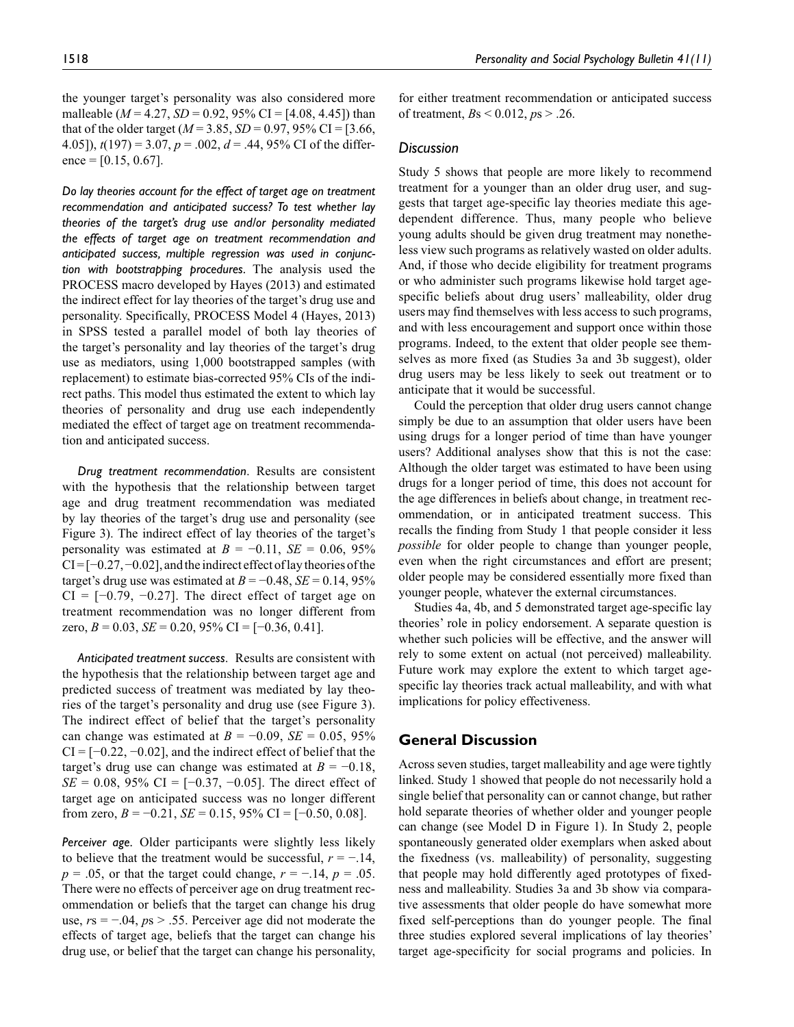the younger target's personality was also considered more malleable (*M* = 4.27, *SD* = 0.92, 95% CI = [4.08, 4.45]) than that of the older target ( $M = 3.85$ ,  $SD = 0.97$ ,  $95\%$  CI = [3.66, 4.05]), *t*(197) = 3.07, *p* = .002, *d* = .44, 95% CI of the difference =  $[0.15, 0.67]$ .

*Do lay theories account for the effect of target age on treatment recommendation and anticipated success? To test whether lay theories of the target's drug use and/or personality mediated the effects of target age on treatment recommendation and anticipated success, multiple regression was used in conjunction with bootstrapping procedures.* The analysis used the PROCESS macro developed by Hayes (2013) and estimated the indirect effect for lay theories of the target's drug use and personality. Specifically, PROCESS Model 4 (Hayes, 2013) in SPSS tested a parallel model of both lay theories of the target's personality and lay theories of the target's drug use as mediators, using 1,000 bootstrapped samples (with replacement) to estimate bias-corrected 95% CIs of the indirect paths. This model thus estimated the extent to which lay theories of personality and drug use each independently mediated the effect of target age on treatment recommendation and anticipated success.

*Drug treatment recommendation*. Results are consistent with the hypothesis that the relationship between target age and drug treatment recommendation was mediated by lay theories of the target's drug use and personality (see Figure 3). The indirect effect of lay theories of the target's personality was estimated at  $B = -0.11$ ,  $SE = 0.06$ , 95%  $CI = [-0.27, -0.02]$ , and the indirect effect of lay theories of the target's drug use was estimated at  $B = -0.48$ ,  $SE = 0.14$ , 95%  $CI = [-0.79, -0.27]$ . The direct effect of target age on treatment recommendation was no longer different from zero,  $B = 0.03$ ,  $SE = 0.20$ ,  $95\%$  CI = [-0.36, 0.41].

*Anticipated treatment success*. Results are consistent with the hypothesis that the relationship between target age and predicted success of treatment was mediated by lay theories of the target's personality and drug use (see Figure 3). The indirect effect of belief that the target's personality can change was estimated at  $B = -0.09$ ,  $SE = 0.05$ , 95%  $CI = [-0.22, -0.02]$ , and the indirect effect of belief that the target's drug use can change was estimated at  $B = -0.18$ , *SE* = 0.08, 95% CI =  $[-0.37, -0.05]$ . The direct effect of target age on anticipated success was no longer different from zero,  $B = -0.21$ ,  $SE = 0.15$ ,  $95\%$  CI = [-0.50, 0.08].

*Perceiver age.* Older participants were slightly less likely to believe that the treatment would be successful,  $r = -0.14$ , *p* = .05, or that the target could change,  $r = −.14$ ,  $p = .05$ . There were no effects of perceiver age on drug treatment recommendation or beliefs that the target can change his drug use, *r*s = −.04, *p*s > .55. Perceiver age did not moderate the effects of target age, beliefs that the target can change his drug use, or belief that the target can change his personality,

for either treatment recommendation or anticipated success of treatment, *B*s < 0.012, *p*s > .26.

# *Discussion*

Study 5 shows that people are more likely to recommend treatment for a younger than an older drug user, and suggests that target age-specific lay theories mediate this agedependent difference. Thus, many people who believe young adults should be given drug treatment may nonetheless view such programs as relatively wasted on older adults. And, if those who decide eligibility for treatment programs or who administer such programs likewise hold target agespecific beliefs about drug users' malleability, older drug users may find themselves with less access to such programs, and with less encouragement and support once within those programs. Indeed, to the extent that older people see themselves as more fixed (as Studies 3a and 3b suggest), older drug users may be less likely to seek out treatment or to anticipate that it would be successful.

Could the perception that older drug users cannot change simply be due to an assumption that older users have been using drugs for a longer period of time than have younger users? Additional analyses show that this is not the case: Although the older target was estimated to have been using drugs for a longer period of time, this does not account for the age differences in beliefs about change, in treatment recommendation, or in anticipated treatment success. This recalls the finding from Study 1 that people consider it less *possible* for older people to change than younger people, even when the right circumstances and effort are present; older people may be considered essentially more fixed than younger people, whatever the external circumstances.

Studies 4a, 4b, and 5 demonstrated target age-specific lay theories' role in policy endorsement. A separate question is whether such policies will be effective, and the answer will rely to some extent on actual (not perceived) malleability. Future work may explore the extent to which target agespecific lay theories track actual malleability, and with what implications for policy effectiveness.

# **General Discussion**

Across seven studies, target malleability and age were tightly linked. Study 1 showed that people do not necessarily hold a single belief that personality can or cannot change, but rather hold separate theories of whether older and younger people can change (see Model D in Figure 1). In Study 2, people spontaneously generated older exemplars when asked about the fixedness (vs. malleability) of personality, suggesting that people may hold differently aged prototypes of fixedness and malleability. Studies 3a and 3b show via comparative assessments that older people do have somewhat more fixed self-perceptions than do younger people. The final three studies explored several implications of lay theories' target age-specificity for social programs and policies. In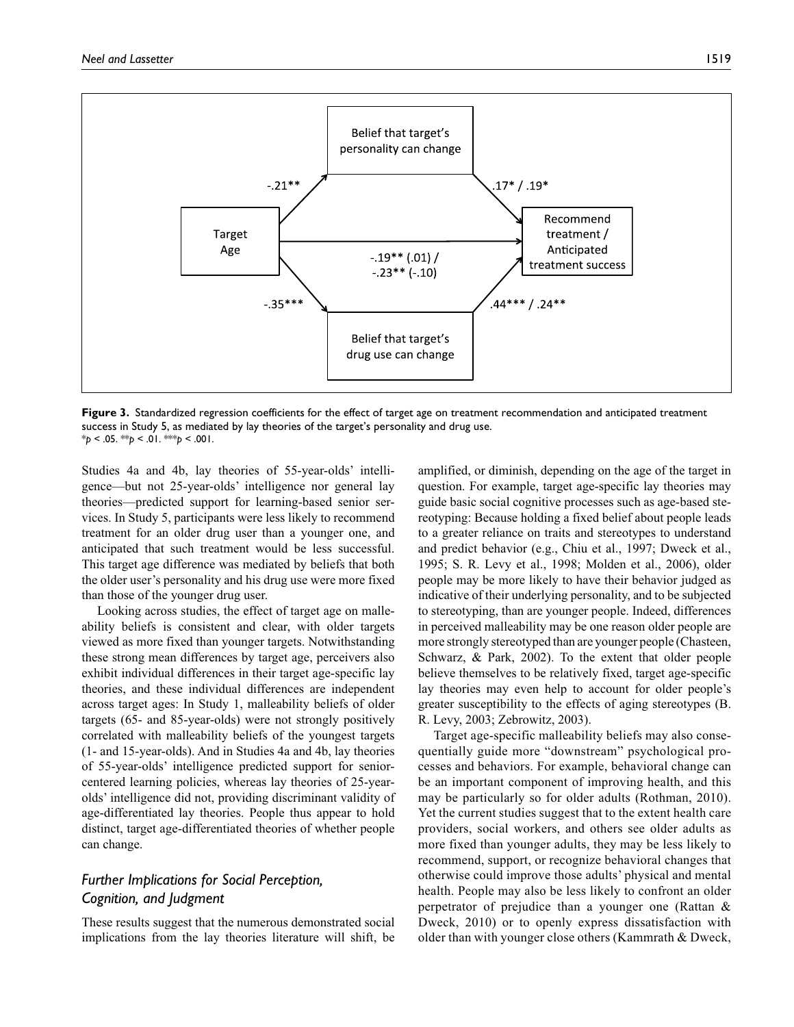

**Figure 3.** Standardized regression coefficients for the effect of target age on treatment recommendation and anticipated treatment success in Study 5, as mediated by lay theories of the target's personality and drug use.  $*_{p}$  < .05.  $*_{p}$  < .01.  $*_{p}$  < .001.

Studies 4a and 4b, lay theories of 55-year-olds' intelligence—but not 25-year-olds' intelligence nor general lay theories—predicted support for learning-based senior services. In Study 5, participants were less likely to recommend treatment for an older drug user than a younger one, and anticipated that such treatment would be less successful. This target age difference was mediated by beliefs that both the older user's personality and his drug use were more fixed than those of the younger drug user.

Looking across studies, the effect of target age on malleability beliefs is consistent and clear, with older targets viewed as more fixed than younger targets. Notwithstanding these strong mean differences by target age, perceivers also exhibit individual differences in their target age-specific lay theories, and these individual differences are independent across target ages: In Study 1, malleability beliefs of older targets (65- and 85-year-olds) were not strongly positively correlated with malleability beliefs of the youngest targets (1- and 15-year-olds). And in Studies 4a and 4b, lay theories of 55-year-olds' intelligence predicted support for seniorcentered learning policies, whereas lay theories of 25-yearolds' intelligence did not, providing discriminant validity of age-differentiated lay theories. People thus appear to hold distinct, target age-differentiated theories of whether people can change.

# *Further Implications for Social Perception, Cognition, and Judgment*

These results suggest that the numerous demonstrated social implications from the lay theories literature will shift, be amplified, or diminish, depending on the age of the target in question. For example, target age-specific lay theories may guide basic social cognitive processes such as age-based stereotyping: Because holding a fixed belief about people leads to a greater reliance on traits and stereotypes to understand and predict behavior (e.g., Chiu et al., 1997; Dweck et al., 1995; S. R. Levy et al., 1998; Molden et al., 2006), older people may be more likely to have their behavior judged as indicative of their underlying personality, and to be subjected to stereotyping, than are younger people. Indeed, differences in perceived malleability may be one reason older people are more strongly stereotyped than are younger people (Chasteen, Schwarz, & Park, 2002). To the extent that older people believe themselves to be relatively fixed, target age-specific lay theories may even help to account for older people's greater susceptibility to the effects of aging stereotypes (B. R. Levy, 2003; Zebrowitz, 2003).

Target age-specific malleability beliefs may also consequentially guide more "downstream" psychological processes and behaviors. For example, behavioral change can be an important component of improving health, and this may be particularly so for older adults (Rothman, 2010). Yet the current studies suggest that to the extent health care providers, social workers, and others see older adults as more fixed than younger adults, they may be less likely to recommend, support, or recognize behavioral changes that otherwise could improve those adults' physical and mental health. People may also be less likely to confront an older perpetrator of prejudice than a younger one (Rattan & Dweck, 2010) or to openly express dissatisfaction with older than with younger close others (Kammrath & Dweck,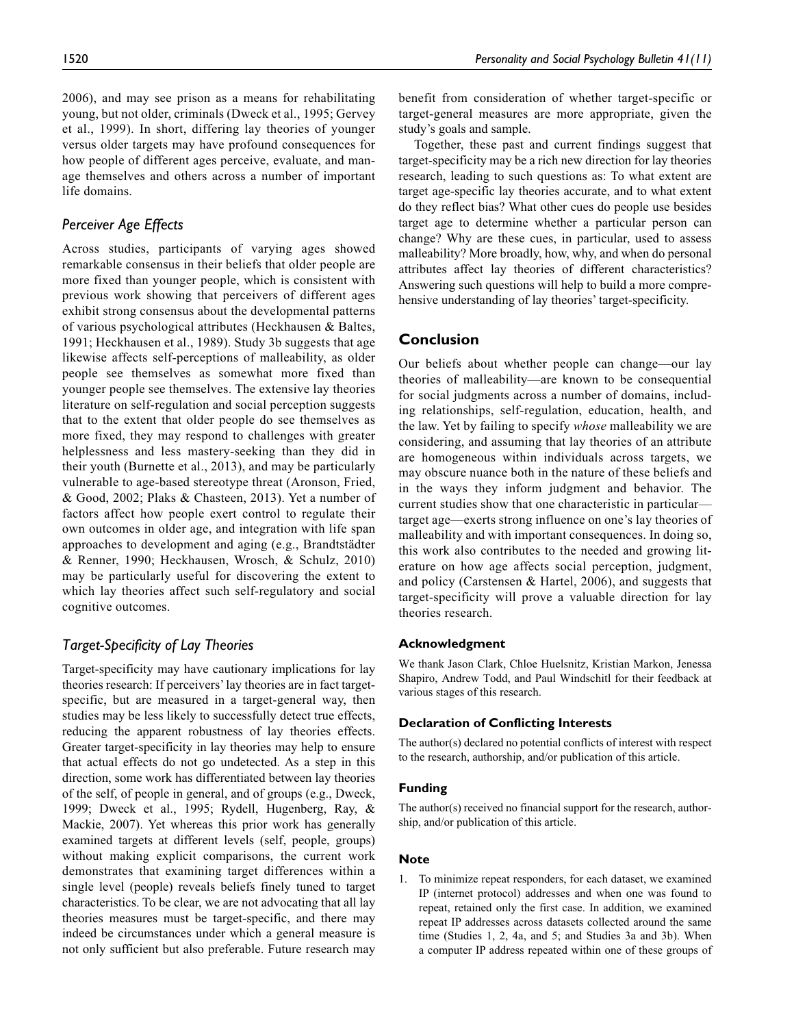2006), and may see prison as a means for rehabilitating young, but not older, criminals (Dweck et al., 1995; Gervey et al., 1999). In short, differing lay theories of younger versus older targets may have profound consequences for how people of different ages perceive, evaluate, and manage themselves and others across a number of important life domains.

# *Perceiver Age Effects*

Across studies, participants of varying ages showed remarkable consensus in their beliefs that older people are more fixed than younger people, which is consistent with previous work showing that perceivers of different ages exhibit strong consensus about the developmental patterns of various psychological attributes (Heckhausen & Baltes, 1991; Heckhausen et al., 1989). Study 3b suggests that age likewise affects self-perceptions of malleability, as older people see themselves as somewhat more fixed than younger people see themselves. The extensive lay theories literature on self-regulation and social perception suggests that to the extent that older people do see themselves as more fixed, they may respond to challenges with greater helplessness and less mastery-seeking than they did in their youth (Burnette et al., 2013), and may be particularly vulnerable to age-based stereotype threat (Aronson, Fried, & Good, 2002; Plaks & Chasteen, 2013). Yet a number of factors affect how people exert control to regulate their own outcomes in older age, and integration with life span approaches to development and aging (e.g., Brandtstädter & Renner, 1990; Heckhausen, Wrosch, & Schulz, 2010) may be particularly useful for discovering the extent to which lay theories affect such self-regulatory and social cognitive outcomes.

# *Target-Specificity of Lay Theories*

Target-specificity may have cautionary implications for lay theories research: If perceivers' lay theories are in fact targetspecific, but are measured in a target-general way, then studies may be less likely to successfully detect true effects, reducing the apparent robustness of lay theories effects. Greater target-specificity in lay theories may help to ensure that actual effects do not go undetected. As a step in this direction, some work has differentiated between lay theories of the self, of people in general, and of groups (e.g., Dweck, 1999; Dweck et al., 1995; Rydell, Hugenberg, Ray, & Mackie, 2007). Yet whereas this prior work has generally examined targets at different levels (self, people, groups) without making explicit comparisons, the current work demonstrates that examining target differences within a single level (people) reveals beliefs finely tuned to target characteristics. To be clear, we are not advocating that all lay theories measures must be target-specific, and there may indeed be circumstances under which a general measure is not only sufficient but also preferable. Future research may

benefit from consideration of whether target-specific or target-general measures are more appropriate, given the study's goals and sample.

Together, these past and current findings suggest that target-specificity may be a rich new direction for lay theories research, leading to such questions as: To what extent are target age-specific lay theories accurate, and to what extent do they reflect bias? What other cues do people use besides target age to determine whether a particular person can change? Why are these cues, in particular, used to assess malleability? More broadly, how, why, and when do personal attributes affect lay theories of different characteristics? Answering such questions will help to build a more comprehensive understanding of lay theories' target-specificity.

# **Conclusion**

Our beliefs about whether people can change—our lay theories of malleability—are known to be consequential for social judgments across a number of domains, including relationships, self-regulation, education, health, and the law. Yet by failing to specify *whose* malleability we are considering, and assuming that lay theories of an attribute are homogeneous within individuals across targets, we may obscure nuance both in the nature of these beliefs and in the ways they inform judgment and behavior. The current studies show that one characteristic in particular target age—exerts strong influence on one's lay theories of malleability and with important consequences. In doing so, this work also contributes to the needed and growing literature on how age affects social perception, judgment, and policy (Carstensen & Hartel, 2006), and suggests that target-specificity will prove a valuable direction for lay theories research.

# **Acknowledgment**

We thank Jason Clark, Chloe Huelsnitz, Kristian Markon, Jenessa Shapiro, Andrew Todd, and Paul Windschitl for their feedback at various stages of this research.

# **Declaration of Conflicting Interests**

The author(s) declared no potential conflicts of interest with respect to the research, authorship, and/or publication of this article.

# **Funding**

The author(s) received no financial support for the research, authorship, and/or publication of this article.

# **Note**

1. To minimize repeat responders, for each dataset, we examined IP (internet protocol) addresses and when one was found to repeat, retained only the first case. In addition, we examined repeat IP addresses across datasets collected around the same time (Studies 1, 2, 4a, and 5; and Studies 3a and 3b). When a computer IP address repeated within one of these groups of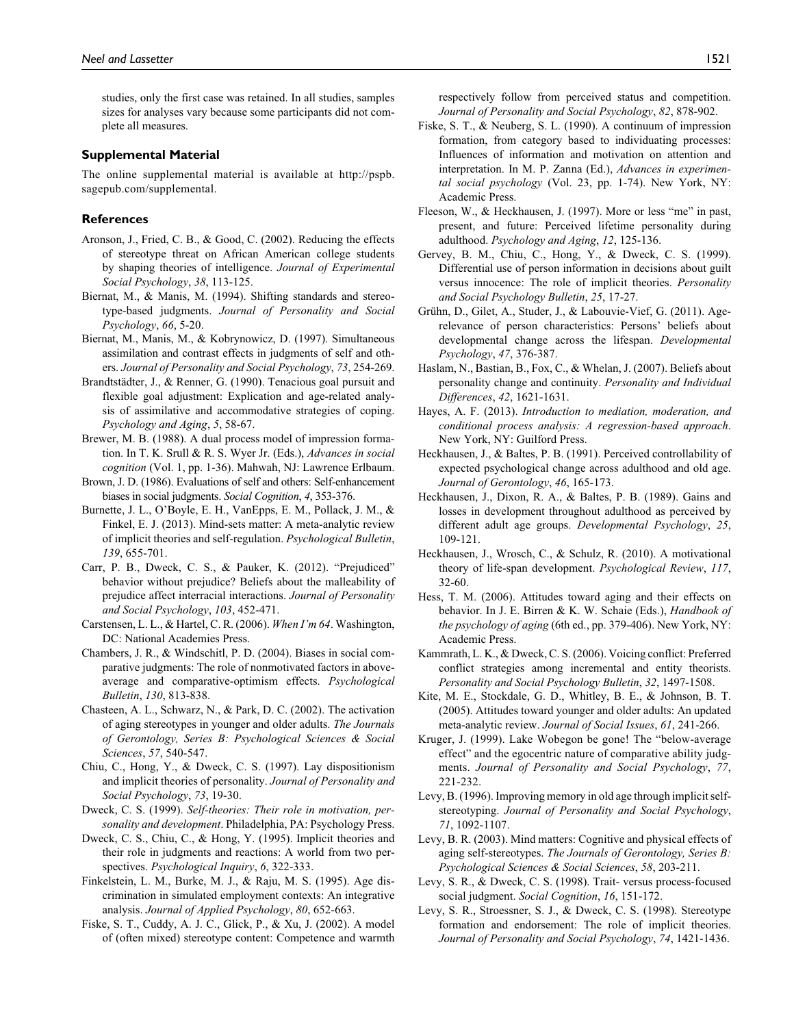studies, only the first case was retained. In all studies, samples sizes for analyses vary because some participants did not complete all measures.

#### **Supplemental Material**

The online supplemental material is available at [http://pspb.](http://pspb.sagepub.com/supplemental) [sagepub.com/supplemental](http://pspb.sagepub.com/supplemental).

#### **References**

- Aronson, J., Fried, C. B., & Good, C. (2002). Reducing the effects of stereotype threat on African American college students by shaping theories of intelligence. *Journal of Experimental Social Psychology*, *38*, 113-125.
- Biernat, M., & Manis, M. (1994). Shifting standards and stereotype-based judgments. *Journal of Personality and Social Psychology*, *66*, 5-20.
- Biernat, M., Manis, M., & Kobrynowicz, D. (1997). Simultaneous assimilation and contrast effects in judgments of self and others. *Journal of Personality and Social Psychology*, *73*, 254-269.
- Brandtstädter, J., & Renner, G. (1990). Tenacious goal pursuit and flexible goal adjustment: Explication and age-related analysis of assimilative and accommodative strategies of coping. *Psychology and Aging*, *5*, 58-67.
- Brewer, M. B. (1988). A dual process model of impression formation. In T. K. Srull & R. S. Wyer Jr. (Eds.), *Advances in social cognition* (Vol. 1, pp. 1-36). Mahwah, NJ: Lawrence Erlbaum.
- Brown, J. D. (1986). Evaluations of self and others: Self-enhancement biases in social judgments. *Social Cognition*, *4*, 353-376.
- Burnette, J. L., O'Boyle, E. H., VanEpps, E. M., Pollack, J. M., & Finkel, E. J. (2013). Mind-sets matter: A meta-analytic review of implicit theories and self-regulation. *Psychological Bulletin*, *139*, 655-701.
- Carr, P. B., Dweck, C. S., & Pauker, K. (2012). "Prejudiced" behavior without prejudice? Beliefs about the malleability of prejudice affect interracial interactions. *Journal of Personality and Social Psychology*, *103*, 452-471.
- Carstensen, L. L., & Hartel, C. R. (2006). *When I'm 64*. Washington, DC: National Academies Press.
- Chambers, J. R., & Windschitl, P. D. (2004). Biases in social comparative judgments: The role of nonmotivated factors in aboveaverage and comparative-optimism effects. *Psychological Bulletin*, *130*, 813-838.
- Chasteen, A. L., Schwarz, N., & Park, D. C. (2002). The activation of aging stereotypes in younger and older adults. *The Journals of Gerontology, Series B: Psychological Sciences & Social Sciences*, *57*, 540-547.
- Chiu, C., Hong, Y., & Dweck, C. S. (1997). Lay dispositionism and implicit theories of personality. *Journal of Personality and Social Psychology*, *73*, 19-30.
- Dweck, C. S. (1999). *Self-theories: Their role in motivation, personality and development*. Philadelphia, PA: Psychology Press.
- Dweck, C. S., Chiu, C., & Hong, Y. (1995). Implicit theories and their role in judgments and reactions: A world from two perspectives. *Psychological Inquiry*, *6*, 322-333.
- Finkelstein, L. M., Burke, M. J., & Raju, M. S. (1995). Age discrimination in simulated employment contexts: An integrative analysis. *Journal of Applied Psychology*, *80*, 652-663.
- Fiske, S. T., Cuddy, A. J. C., Glick, P., & Xu, J. (2002). A model of (often mixed) stereotype content: Competence and warmth

respectively follow from perceived status and competition. *Journal of Personality and Social Psychology*, *82*, 878-902.

- Fiske, S. T., & Neuberg, S. L. (1990). A continuum of impression formation, from category based to individuating processes: Influences of information and motivation on attention and interpretation. In M. P. Zanna (Ed.), *Advances in experimental social psychology* (Vol. 23, pp. 1-74). New York, NY: Academic Press.
- Fleeson, W., & Heckhausen, J. (1997). More or less "me" in past, present, and future: Perceived lifetime personality during adulthood. *Psychology and Aging*, *12*, 125-136.
- Gervey, B. M., Chiu, C., Hong, Y., & Dweck, C. S. (1999). Differential use of person information in decisions about guilt versus innocence: The role of implicit theories. *Personality and Social Psychology Bulletin*, *25*, 17-27.
- Grühn, D., Gilet, A., Studer, J., & Labouvie-Vief, G. (2011). Agerelevance of person characteristics: Persons' beliefs about developmental change across the lifespan. *Developmental Psychology*, *47*, 376-387.
- Haslam, N., Bastian, B., Fox, C., & Whelan, J. (2007). Beliefs about personality change and continuity. *Personality and Individual Differences*, *42*, 1621-1631.
- Hayes, A. F. (2013). *Introduction to mediation, moderation, and conditional process analysis: A regression-based approach*. New York, NY: Guilford Press.
- Heckhausen, J., & Baltes, P. B. (1991). Perceived controllability of expected psychological change across adulthood and old age. *Journal of Gerontology*, *46*, 165-173.
- Heckhausen, J., Dixon, R. A., & Baltes, P. B. (1989). Gains and losses in development throughout adulthood as perceived by different adult age groups. *Developmental Psychology*, *25*, 109-121.
- Heckhausen, J., Wrosch, C., & Schulz, R. (2010). A motivational theory of life-span development. *Psychological Review*, *117*, 32-60.
- Hess, T. M. (2006). Attitudes toward aging and their effects on behavior. In J. E. Birren & K. W. Schaie (Eds.), *Handbook of the psychology of aging* (6th ed., pp. 379-406). New York, NY: Academic Press.
- Kammrath, L. K., & Dweck, C. S. (2006). Voicing conflict: Preferred conflict strategies among incremental and entity theorists. *Personality and Social Psychology Bulletin*, *32*, 1497-1508.
- Kite, M. E., Stockdale, G. D., Whitley, B. E., & Johnson, B. T. (2005). Attitudes toward younger and older adults: An updated meta-analytic review. *Journal of Social Issues*, *61*, 241-266.
- Kruger, J. (1999). Lake Wobegon be gone! The "below-average effect" and the egocentric nature of comparative ability judgments. *Journal of Personality and Social Psychology*, *77*, 221-232.
- Levy, B. (1996). Improving memory in old age through implicit selfstereotyping. *Journal of Personality and Social Psychology*, *71*, 1092-1107.
- Levy, B. R. (2003). Mind matters: Cognitive and physical effects of aging self-stereotypes. *The Journals of Gerontology, Series B: Psychological Sciences & Social Sciences*, *58*, 203-211.
- Levy, S. R., & Dweck, C. S. (1998). Trait- versus process-focused social judgment. *Social Cognition*, *16*, 151-172.
- Levy, S. R., Stroessner, S. J., & Dweck, C. S. (1998). Stereotype formation and endorsement: The role of implicit theories. *Journal of Personality and Social Psychology*, *74*, 1421-1436.